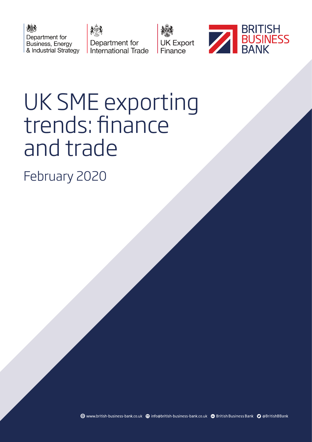







# UK SME exporting trends: finance and trade

February 2020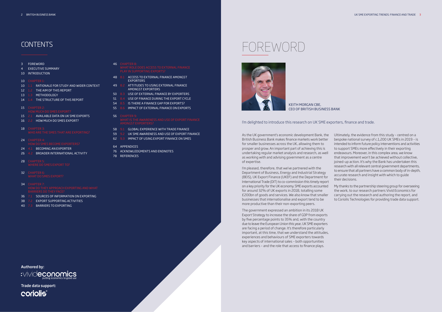# CONTENTS FOREWORD

Authored by: :vivideconomics



KEITH MORGAN CBE, CEO OF BRITISH BUSINESS BANK

Trade data support:

coriolis®

As the UK government's economic development Bank, the British Business Bank makes finance markets work better for smaller businesses across the UK, allowing them to prosper and grow. An important part of achieving this is undertaking regular market analysis and research, as well as working with and advising government as a centre of expertise.

I'm pleased, therefore, that we've partnered with the Department of Business, Energy and Industrial Strategy (BEIS), UK Export Finance (UKEF) and the Department for International Trade (DIT) to co-commission this timely report on a key priority for the UK economy. SME exports accounted for around 32% of UK exports in 2018, totalling some £200bn of goods and services. We also know that smaller businesses that internationalise and export tend to be more productive than their non-exporting peers.

The government expressed an ambition in its 2018 UK Export Strategy to increase the share of GDP from exports by five percentage points to 35% and, with the country due to leave the European Union this year, UK SME exporters are facing a period of change. It's therefore particularly important, at this time, that we understand the attitudes, experiences and behaviours of SME exporters towards key aspects of international sales – both opportunities and barriers – and the role that access to finance plays.

- 46 CHAPTER 8:
- 48 8.1 ACCESS TO EXTERNAL FINANCE AMONGST **EXPORTERS**
- 49 8.2 ATTITUDES TO USING EXTERNAL FINANCE AMONGST EXPORTERS
- 50 8.3 USE OF EXTERNAL FINANCE BY EXPORTERS
- 51 8.4 USE OF FINANCE DURING THE EXPORT CYCLE
- 54 8.5 IS THERE A FINANCE GAP FOR EXPORTS?
- 55 8.6 IMPACT OF EXTERNAL FINANCE ON EXPORTS

- 
- 58 9.1 GLOBAL EXPERIENCE WITH TRADE FINANCE
- 59 9.2 UK SME AWARENESS AND USE OF EXPORT FINANCE
- 62 9.3 IMPACT OF USING EXPORT FINANCE ON SMES

Ultimately, the evidence from this study – centred on a bespoke national survey of c.1,200 UK SMEs in 2019 – is intended to inform future policy interventions and activities to support SMEs more effectively in their exporting endeavours. Moreover, in this complex area, we know that improvement won't be achieved without collective, joined-up action. It's why the Bank has undertaken this research with all relevant central government departments, to ensure that all partners have a common body of in-depth, accurate research and insight with which to guide their decisions.

My thanks to the partnership steering group for overseeing the work, to our research partners Vivid Economics for carrying out the research and authoring the report, and to Coriolis Technologies for providing trade data support.

## I'm delighted to introduce this research on UK SME exporters, finance and trade.

#### 3 FOREWORD

- 4 EXECUTIVE SUMMARY
- 10 INTRODUCTION

#### 10 CHAPTER 1:

- 10 1.1 RATIONALE FOR STUDY AND WIDER CONTEXT
- 12 1.2 THE AIM OF THIS REPORT
- 13 1.3 METHODOLOGY
- 14 1.4 THE STRUCTURE OF THIS REPORT

#### 15 CHAPTER 2:

- 
- 15 2.1 AVAILABLE DATA ON UK SME EXPORTS
- 16 2.2 HOW MUCH DO SMES EXPORT?
- 18 CHAPTER 3:
- 24 CHAPTER 4:
- 24 4.1 BECOMING AN EXPORTER
- 
- 26 4.2 BROADER INTERNATIONAL ACTIVITY
- 28 CHAPTER 5:
- 32 CHAPTER 6:
- 34 CHAPTER 7: BARRIERS DO THEY FACE?
- 36 7.1 SOURCES OF INFORMATION ON EXPORTING
- 38 7.2 EXPORT SUPPORTING ACTIVITIES
- 40 7.3 BARRIERS TO EXPORTING

#### 56 CHAPTER 9:

#### 64 APPENDICES

- 76 ACKNOWLEDGMENTS AND ENDNOTES
- 78 REFERENCES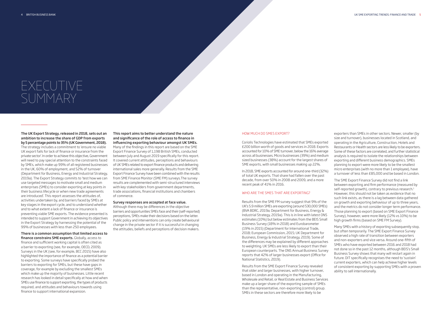exporters than SMEs in other sectors. Newer, smaller (by size and turnover), businesses located in Scotland, and operating in the Agriculture, Construction, Hotels and Restaurants or Health sectors are less likely to be exporters. Some of these factors are correlated, and further statistical analysis is required to isolate the relationships between exporting and different business demographics. SMEs planning to export were more likely to be the smallest micro enterprises (with no more than 1 employee), have a turnover of less than £85,000 and be based in London.

The SME Export Finance Survey did not find a link between exporting and firm performance (measured by self-reported growth), contrary to previous research.<sup>1</sup> However, this should not be taken as evidence that no such link exists, as there is a lag between data gathered on growth and exporting behaviour of up to three years, and the metrics do not consider longer term performance. Those planning to export (based on SME Export Finance Survey), however, were more likely (12% vs 10%) to be high growth firms (based on SME FM Survey).

Many SMEs with a history of exporting subsequently stop, but often temporarily. The SME Export Finance Survey observed a high rate of transition between exporters and non-exporters and vice versa. Around one-fifth of SMEs who have exported between 2016 and 2018 had not done so in the past 12 months, although BEIS's Small Business Survey shows that many will restart again in future. DIT specifically recognises the need to 'sustain' current exporters, which can help achieve higher levels of consistent exporting by supporting SMEs with a proven ability to sell internationally.

#### HOW MUCH DO SMES EXPORT?

Coriolis Technologies have estimated that SMEs exported £200 billion worth of goods and services in 2018. Exports accounted for 10% of SME turnover, below the 16% average across all businesses. Micro businesses (39%) and medium sized businesses (38%) account for the largest shares of SME exports, with small businesses making up 22%.

In 2018, SME exports accounted for around one-third (32%) of total UK exports. That share had fallen over the past decade, from over 50% in 2008 and 2009, and a more recent peak of 41% in 2016.

### WHO ARE THE SMES THAT ARE EXPORTING?

Results from the SME FM survey suggest that 9% of the UK's 5.9 million SMEs are exporting (around 530,000 SMEs) (BVA BDRC, 2019a; Department for Business, Energy & Industrial Strategy, 2019a). This is in line with latest ONS estimates (10%) but below estimates from the BEIS Small Business Survey (18% in 2018) and Eurobarometer (19% in 2015) (Department for International Trade, 2018; European Commission, 2015; UK Department for Business, Energy & Industrial Strategy, 2019). Some of the differences may be explained by different approaches to weighting. UK SMEs are less likely to export than their European counterparts. The ONS Annual Business Survey reports that 42% of larger businesses export (Office for National Statistics, 2019).

finance constrains SME exports. Globally, access to finance and sufficient working capital is often cited as a barrier to exporting (see, for example, OECD, 2009). Surveys in the UK (see, for example, BCC 2015) have also highlighted the importance of finance as a potential barrier to exporting. Some surveys have specifically probed the barriers to exporting for SMEs, but these have gaps in coverage, for example by excluding the smallest SMEs which make up the majority of businesses. Little recent research has looked in detail specifically at how and when SMEs use finance to support exporting, the types of products required, and attitudes and behaviours towards using finance to support international expansion.

Results from the SME Export Finance Survey revealed that older and larger businesses, with higher turnover, based in London and operating in the Manufacturing, Wholesale and Retail, or Real Estate and Business Services make up a larger share of the exporting sample of SMEs than the representative, non-exporting (control) group. SMEs in these sectors are therefore more likely to be

# EXECUTIVE SUMMARY

The UK Export Strategy, released in 2018, sets out an ambition to increase the share of GDP from exports by 5 percentage points to 35% (UK Government, 2018). The strategy includes a commitment to 'ensure no viable UK export fails for lack of finance or insurance from the private sector'. In order to achieve this objective, Government will need to pay special attention to the constraints faced by SMEs, which make up 99% of all registered businesses in the UK, 60% of employment, and 52% of turnover (Department for Business, Energy and Industrial Strategy, 2019a). The Export Strategy commits to 'test how we can use targeted messages to motivate small and medium enterprises (SMEs) to consider exporting at key points in their business lifecycle or when new trade agreements are introduced'. This report assesses the attitudes of, activities undertaken by, and barriers faced by SMEs at key stages in the export cycle, and to understand whether and to what extent a lack of finance or insurance is preventing viable SME exports. The evidence presented is intended to support Government in achieving its objectives in the Export Strategy by harnessing the potential of the 99% of businesses with less than 250 employees.

## There is a common assumption that limited access to

#### This report aims to better understand the nature and significance of the role of access to finance in influencing exporting behaviour amongst UK SMEs.

Many of the findings in this report are based on the SME Export Finance Survey of 1,198 British SMEs, conducted between July and August 2019 specifically for this report. It covered current attitudes, perceptions and behaviours of UK SMEs related to export finance products and delivering international sales more generally. Results from the SME Export Finance Survey have been combined with the results from SME Finance Monitor (SME FM) surveys.The survey results are complemented with semi-structured interviews with key stakeholders from government departments, trade associations, financial institutions and chambers of commerce.

#### Survey responses are accepted at face value.

Although there may be differences in the objective barriers and opportunities SMEs face and their (self-reported) perceptions, SMEs make their decisions based on the latter. Public policy and interventions can only create behavioural change in the private sector if it is successful in changing the attitudes, beliefs and perceptions of decision makers.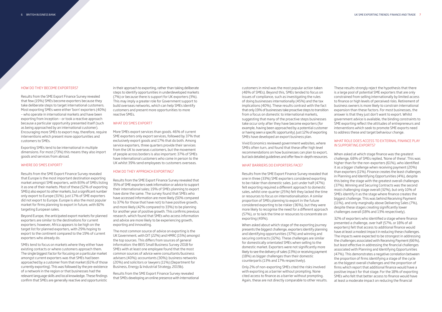These results strongly reject the hypothesis that there is a large pool of potential SME exporters that are only constrained from selling internationally by limited access to finance or high levels of perceived risks. Retirement of business owners is more likely to constrain international expansion than these factors. For most businesses, the answer is that they just don't want to export. Whilst government advice is available, the binding constraints to SME exporting reflect the attitudes of entrepreneurs and interventions which seek to promote SME exports need to address these and target behaviour change.

### WHAT ROLE DOES ACCESS TO EXTERNAL FINANCE PLAY IN SUPPORTING EXPORTS?

When asked at which stage finance was the greatest challenge, 68% of SMEs replied, 'None of these'. This was higher than for the non-exporters (61%), who identified it as a bigger challenge when receiving payment (20%) than exporters (11%). Finance creates the least challenges in Planning and Identifying Opportunities (4%), despite this being the stage with the greatest overall challenges (37%). Winning and Securing Contracts was the second most challenging stage overall (32%), but only 10% of SMEs identify it as the stage where finance creates the biggest challenge. This was behind Receiving Payment (11%), and only marginally above Delivering Sales (7%), despite these stages creating significantly lower challenges overall (18% and 13% respectively).

32% of exporters who identified a stage where finance presented a challenge, over half (57%, or 18% of all exporters) felt that access to additional finance would have at least a modest impact in reducing these challenges. The impacts were expected to be strongest in addressing the challenges associated with Receiving Payment (66%), but least effective in addressing the financial challenges associated with Planning and Identifying Opportunities (47%). This demonstrates a negative correlation between the proportion of firms identifying a stage of the cycle as the biggest overall challenges and the proportion of firms which report that additional finance would have a positive impact for that stage. For the 18% of exporting SMEs who felt that better access to finance would have at least a moderate impact on reducing the financial

customers in mind was the most popular action taken (48% of SMEs). Beyond this, SMEs tended to focus on issues of compliance, such as investigating the rules of doing businesses internationally (45%) and the tax implications (40%). These results contrast with the fact that only 19% of businesses take proactive steps to transition from a focus on domestic to international markets, suggesting that many of the proactive steps businesses take occur only after they have become exporters (for example, having been approached by a potential customer or having seen a specific opportunity). Just 12% of exporting SMEs have developed an export business plan.

Vivid Economics reviewed government websites, where SMEs often turn, and found that these offer high level recommendations on how businesses can plan to export, but lack detailed guidelines and offer few in-depth resources.

### WHAT BARRIERS DO EXPORTERS FACE?

Results from the SME Export Finance Survey revealed that one in three (33%) SME exporters considered exporting to be riskier than domestic sales. Just under half (47%) felt exporting required a different approach to domestic sales, whilst one-quarter (25%) felt they lacked the time or resources to focus on internationalisation. A similar proportion of SMEs planning to export in the future considered exporting to be riskier (36%), but they were more likely to recognise the need for a different approach (57%), or to lack the time or resources to concentrate on exporting (49%).

When asked about which stage of the exporting journey presents the biggest challenge, exporters identify planning and identifying opportunities (37%) and winning and securing contracts (32%). These challenges are similar for domestically orientated SMEs when selling to the domestic market. Exporters were not significantly more likely to see the delivery of sales (13%) or receiving payment (18%) as bigger challenges than their domestic counterparts (13% and 17% respectively).

Only 2% of non-exporting SMEs cited the risks involved with exporting as a barrier without prompting. None cited access to finance as a barrier without prompting. Again, these are not directly comparable to other results.

#### HOW DO THEY BECOME EXPORTERS?

Results from the SME Export Finance Survey revealed that few (19%) SMEs become exporters because they take deliberate steps to target international customers. Most exporting SMEs were either 'born' exporters (40%) – who operate in international markets and have been exporting from inception – or took a reactive approach because a particular opportunity presented itself (such as being approached by an international customer). Encouraging more SMEs to export may, therefore, require interventions which present more opportunities and customers to SMEs.

Exporting SMEs tend to be international in multiple dimensions. For most (73%) this means they also import goods and services from abroad.

### WHERE DO SMES EXPORT?

Results from the SME Export Finance Survey revealed that Europe is the most important destination exporting market amongst SME exporters, with 83% of SMEs listing it as one of their markets. Most of these (52% of exporting SMEs) also export to other markets, but a significant number only export to Europe (31%). Just 17% of SME exporters did not export to Europe. Europe is also the most popular market for firms planning to export in future, with 82% targeting European sales.

Beyond Europe, the anticipated export markets for planned exporters are similar to the destinations for current exporters; however, Africa appears to be high on the target list for planned exporters, with 29% hoping to export to the continent compared to the 19% of current exporters who already do.

SMEs tend to focus on markets where they either have existing contacts or where customers approach them. The single biggest factor for focusing on a particular market amongst current exporters was that SMEs had been approached by a customer from that market (61% of those currently exporting). This was followed by the pre-existence of a network in the region or that businesses had the relevant language skills and local knowledge. These findings confirm that SMEs are generally reactive and opportunistic

in their approach to exporting, rather than taking deliberate steps to identify opportunities in underdeveloped markets (7%) or because there is support for UK exporters (3%). This may imply a greater role for Government support to build overseas networks, which can help SMEs identify customers and present more opportunities to more reactive SMEs.

#### WHAT DO SMES EXPORT?

More SMEs export services than goods. 46% of current SME exporters only export services, followed by 37% that exclusively export goods and 17% that do both. Among service exporters, three quarters provide their services from the UK to overseas customers, but the movement of people across borders is also important: 37% of SMEs have international customers who come in person to the UK whilst 39% send employees to customers overseas.

#### HOW DO THEY APPROACH EXPORTING?

Results from the SME Export Finance Survey revealed that 35% of SME exporters seek information or advice to support their international sales; 19% of SMEs planning to export have done the same. The survey found that SMEs who have accessed information are more likely (50% compared to 37% for those that have not) to have positive growth, and more likely (42% compared to 33%) to be planning for another year of positive growth. This confirms previous research, which found that SMEs who access information and advice are more likely to be experiencing growth, exporting and innovating.

The most common source of advice on exporting is the UK Government, with DIT (22%) and HMRC (15%) amongst the top sources. This differs from sources of general information: the BEIS Small Business Survey 2018 for SMEs with at least one employee found that the most common sources of advice were consultants/business advisers (40%); accountants (30%); business networks (20%) and solicitors or lawyers (11%) (Department for Business, Energy & Industrial Strategy, 2019b).

Results from the SME Export Finance Survey revealed that SMEs developing an online presence with international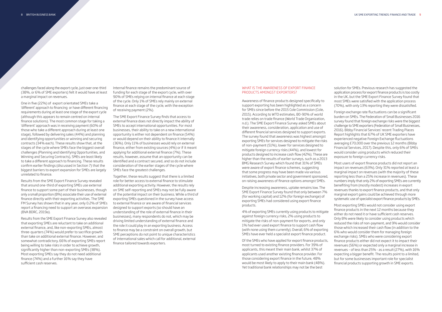solution for SMEs. Previous research has suggested the application process for export finance products is too costly in the UK, but the SME Export Finance Survey found that most SMEs were satisfied with the application process (70%), with only 13% reporting they were dissatisfied.

Foreign exchange rate fluctuations can be a significant burden on SMEs. The Federation of Small Businesses 2016 survey found that foreign exchange risks were the biggest challenge to SME exporters (Federation of Small Businesses, 2016). Bibby Financial Services' recent Trading Places Report highlights that 67% of UK SME exporters have experienced negative Foreign Exchange fluctuations averaging £70,000 over the previous 12 months (Bibby Financial Services, 2017). Despite this, only 6% of SMEs would consider using products which reduced their exposure to foreign currency risks.

Most users of export finance products did not report an impact on revenues (63%). Only 31% reported at least a marginal impact on revenues (with the majority of these reporting less than a 25% increase in revenues). These numbers imply that only 2% of exporting SMEs are currently benefiting from (mostly modest) increases in export revenues thanks to export finance products, and that only marginal export gains could be achieved through more systematic use of specialist export finance products by SMEs.

Most exporting SMEs would not consider using export finance products in the next 12 months because they either do not need it or have sufficient cash reserves. Only 8% were likely to consider using products which reduced the risks of non-payment, and 9% would consider those which increased their cash flow (in addition to the 6% who would consider them for managing foreign exchange risks). SMEs who were considering export finance products either did not expect it to impact their revenues (56%) or expected only a marginal increase in revenues – of less than 25% - as a result (27%), with 16% expecting a bigger benefit. The results point to a limited, but for some businesses important role for specialist financial products supporting growth in SME exports.

#### WHAT IS THE AWARENESS OF EXPORT FINANCE PRODUCTS AMONGST EXPORTERS?

Awareness of finance products designed specifically to support exporting has been highlighted as a concern for SMEs since before the 2015 Cole Commission (Cole, 2015). According to WTO estimates, 80-90% of world trade relies on trade finance (World Trade Organization, n.d.). The SME Export Finance Survey asked SMEs about their awareness, consideration, application and use of different financial services designed to support exports. The survey found that awareness was highest amongst exporting SMEs for services designed to mitigate the risks of non-payment (51%), lower for services designed to mitigate foreign currency risks (44%), and lowest for products designed to increase cash flow (42%). These are higher than the results of earlier surveys, such as a 2013 BMG Research Survey which found that 31% of SMEs were aware of export finance schemes, suggesting that some progress may have been made via various initiatives, both private sector and government sponsored, on raising awareness of finance options amongst SMEs.

Despite increasing awareness, uptake remains low. The SME Export Finance Survey found that only between 7% (for working capital) and 12% (for foreign exchange) of exporting SMEs had considered using export finance products.

4% of exporting SMEs currently using products to mitigate against foreign currency risks, 2% using products to mitigate the risks of non-payment for exports, and only 1% had ever used export finance to support cash flow (with none using them currently). Overall, 6% of exporting SMEs have ever held a specialist export finance product.

Of the SMEs who have applied for export finance products, most turned to existing finance providers. For 39% of applicants, this meant their main bank, whilst 37% of applicants used another existing finance provider. For those considering export finance in the future, 48% would be most likely to apply to their main bank (48%). Yet traditional bank relationships may not be the best

challenges faced along the export cycle, just over one-third (38%, or 6% of SME exporters) felt it would have at least a marginal impact on revenues.

One in five (22%) of export orientated SMEs take a 'different' approach to financing or have different financing requirements during at least one stage of the export cycle (although this appears to remain centred on internal finance solutions). The most common stage for taking a 'different' approach was in receiving payment (60% of those who take a different approach during at least one stage), followed by delivering sales (44%) and planning and identifying opportunities or winning and securing contracts (34% each). These results show that, at the stages of the cycle where SMEs face the biggest overall challenges (Planning and Identifying Opportunities, and Winning and Securing Contracts), SMEs are least likely to take a different approach to financing. These results confirm earlier findings (discussed in Section 7) that the biggest barriers to export expansion for SMEs are largely unrelated to finance.

Results from the SME Export Finance Survey revealed that around one-third of exporting SMEs use external finance to support some part of their businesses, though only a small proportion (8%) associate their use of external finance directly with their exporting activities. The SME FM Survey has shown that in any year, only 0.2% of SMEs report a financing need to support an overseas expansion (BVA BDRC, 2019a).

Results from the SME Export Finance Survey also revealed that exporting SMEs are reluctant to take on additional external finance, and, like non-exporting SMEs, almost three-quarters (74%) would prefer to sacrifice growth than take on additional external finance. However, and somewhat contradictory, 66% of exporting SMEs report being willing to take risks in order to achieve growth, significantly higher than non-exporting SMEs (38%). Most exporting SMEs say they do not need additional finance (74%) and a further 16% say they have sufficient cash reserves.

Internal finance remains the predominant source of funding for each stage of the export cycle, with over 90% of SMEs relying on internal finance at each stage of the cycle. Only 1% of SMEs rely mainly on external finance at each stage of the cycle, with the exception of receiving payment (2%).

The SME Export Finance Survey finds that access to external finance does not directly impact the ability of SMEs to accept international opportunities. For most businesses, their ability to take on a new international opportunity is either not dependent on finance (54%) or would depend on their ability to finance it internally (36%). Only 11% of businesses would rely on external finance, either from existing sources (4%) or if it meant applying for additional external finance (7%). These results, however, assume that an opportunity can be identified and a contract secured, and so do not include consideration of the earlier stages of the cycle where SMEs face the greatest challenges.

Together, these results suggest that there is a limited role for better access to external finance to stimulate additional exporting activity. However, the results rely on SME self-reporting and SMEs may not be fully aware of the potential impact on their business. While a third of exporting SMEs questioned in the survey have access to external finance or are aware of financial services designed to support exports (so should have an understanding of the role of external finance in their businesses), many respondents do not, which may be driving limited understanding of external finance and the role it could play in an exporting business. Access to finance may be a constraint on overall growth, but SME perceptions do not point to unique characteristics of international sales which call for additional, external finance tailored towards exporters.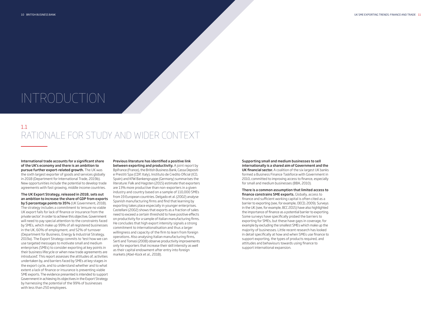Supporting small and medium businesses to sell internationally is a shared aim of Government and the UK financial sector. A coalition of the six largest UK banks formed a Business Finance Taskforce with Government in 2010, committed to improving access to finance, especially for small and medium businesses (BBA, 2010).

There is a common assumption that limited access to finance constrains SME exports. Globally, access to finance and sufficient working capital is often cited as a barrier to exporting (see, for example, OECD, 2009). Surveys in the UK (see, for example, BCC 2015) have also highlighted the importance of finance as a potential barrier to exporting. Some surveys have specifically probed the barriers to exporting for SMEs, but these have gaps in coverage, for example by excluding the smallest SMEs which make up the majority of businesses. Little recent research has looked in detail specifically at how and when SMEs use finance to support exporting, the types of products required, and attitudes and behaviours towards using finance to support international expansion.

## 1.1 RATIONALE FOR STUDY AND WIDER CONTEXT

International trade accounts for a significant share of the UK's economy and there is an ambition to pursue further export-related growth. The UK was the sixth largest exporter of goods and services globally in 2018 (Department for International Trade, 2019b). New opportunities include the potential to develop trade agreements with fast growing, middle income countries.

The UK Export Strategy, released in 2018, sets out an ambition to increase the share of GDP from exports by 5 percentage points to 35% (UK Government, 2018). The strategy includes a commitment to 'ensure no viable UK export fails for lack of finance or insurance from the private sector'. In order to achieve this objective, Government will need to pay special attention to the constraints faced by SMEs, which make up 99% of all registered businesses in the UK, 60% of employment, and 52% of turnover (Department for Business, Energy & Industrial Strategy, 2019a). The Export Strategy commits to 'test how we can use targeted messages to motivate small and medium enterprises (SMEs) to consider exporting at key points in their business lifecycle or when new trade agreements are introduced'. This report assesses the attitudes of, activities undertaken by, and barriers faced by SMEs at key stages in the export cycle, and to understand whether and to what extent a lack of finance or insurance is preventing viable SME exports. The evidence presented is intended to support Government in achieving its objectives in the Export Strategy by harnessing the potential of the 99% of businesses with less than 250 employees.

Previous literature has identified a positive link between exporting and productivity. A joint report by Bpifrance (France), the British Business Bank, Cassa Depositi e Prestiti Spa (CDP, Italy), Instituto de Credito Oficial (ICO, Spain) and KfW Bankengruppe (Germany) summarises the literature: Falk and Hagsten (2015) estimate that exporters are 13% more productive than non-exporters in a given industry and country based on a sample of 110,000 SMEs from 19 European countries. Delgado et al. (2002) analyse Spanish manufacturing firms and find that learning by exporting takes place especially in younger enterprises. Castellani (2002) shows that exports as a fraction of sales need to exceed a certain threshold to have positive effects on productivity for a sample of Italian manufacturing firms. He concludes that high export intensity signals a strong commitment to internationalisation and thus a larger willingness and capacity of the firm to learn from foreign operations. Also analysing Italian manufacturing firms, Serti and Tomasi (2008) observe productivity improvements only for exporters that increase their skill intensity as well as their capital endowment after entry into foreign markets (Abel-Kock et al., 2018).

# INTRODUCTION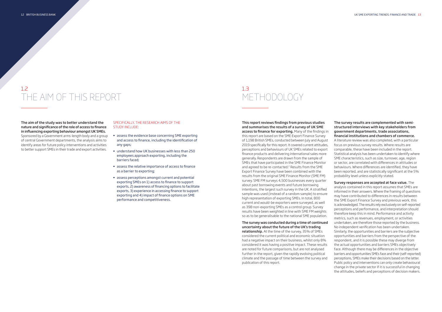The aim of the study was to better understand the nature and significance of the role of access to finance in influencing exporting behaviour amongst UK SMEs. Sponsored by a Government arms-length body and a group of central Government departments, the analysis aims to identify areas for future policy interventions and activities to better support SMEs in their trade and export activities.

#### SPECIFICALLY, THE RESEARCH AIMS OF THE STUDY INCLUDE:

- assess the evidence base concerning SME exporting and access to finance, including the identification of any gaps;
- understand how UK businesses with less than 250 employees approach exporting, including the barriers faced;
- assess the relative importance of access to finance as a barrier to exporting;
- assess perceptions amongst current and potential exporting SMEs on 1) access to finance to support exports, 2) awareness of financing options to facilitate exports, 3) experience in accessing finance to support exporting and 4) impact of finance options on SME performance and competitiveness.

This report reviews findings from previous studies and summarises the results of a survey of UK SME access to finance for exporting. Many of the findings in this report are based on the SME Export Finance Survey of 1,198 British SMEs, conducted between July and August 2019 specifically for this report. It covered current attitudes, perceptions and behaviours of UK SMEs related to export finance products and delivering international sales more generally. Respondents are drawn from the sample of SMEs that have participated in the SME Finance Monitor and agreed to be re-contacted.<sup>2</sup> Results from the SME Export Finance Survey have been combined with the results from the original SME Finance Monitor (SME FM) survey. SME FM surveys 4,500 businesses every quarter about past borrowing events and future borrowing intentions, the largest such survey in the UK. A stratified sample was used (instead of a random sample) to ensure high representation of exporting SMEs. In total, 800 current and would-be exporters were surveyed, as well as 398 non-exporting SMEs as a control group. Survey results have been weighted in line with SME FM weights so as to be generalisable to the national SME population.

#### The survey was conducted during a time of continued uncertainty about the future of the UK's trading

relationship. At the time of the survey, 35% of SMEs considered the current political and economic situation had a negative impact on their business, whilst only 8% considered it was having a positive impact. These results are noted for future comparisons, but are not analysed further in the report, given the rapidly evolving political climate and the passage of time between the survey and publication of this report.

The survey results are complemented with semistructured interviews with key stakeholders from government departments, trade associations, financial institutions and chambers of commerce.

A literature review was also completed, with a particular focus on previous survey results. Where results are comparable, these have been included in the report. Statistical analysis has been undertaken to identify where SME characteristics, such as size, turnover, age, region or sector, are correlated with differences in attitudes or behaviours. Where differences are identified, they have been reported, and are statistically significant at the 5% probability level unless explicitly stated.

Survey responses are accepted at face value. The analysis contained in this report assumes that SMEs are informed in their answers. Where the framing of questions may have contributed to differences in results between the SME Export Finance Survey and previous work, this is acknowledged. The results rely exclusively on self-reported perceptions and performance, and interpretation should therefore keep this in mind. Performance and activity metrics, such as revenues, employment, or activities undertaken, are therefore those reported by the business. No independent verification has been undertaken. Similarly, the opportunities and barriers are the subjective opportunities and barriers from the perspective of the respondent, and it is possible these may diverge from the actual opportunities and barriers SMEs objectively face. Although there may be differences in the objective barriers and opportunities SMEs face and their (self-reported) perceptions, SMEs make their decisions based on the latter. Public policy and interventions can only create behavioural change in the private sector if it is successful in changing the attitudes, beliefs and perceptions of decision makers.

# 1.2 THE AIM OF THIS REPORT

# 1.3 METHODOLOGY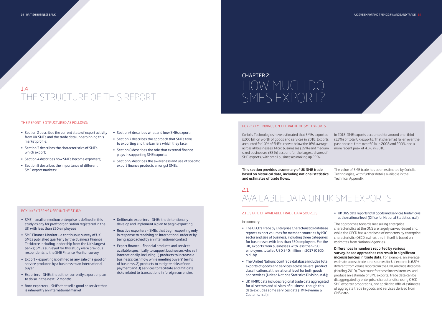- Section 2 describes the current state of export activity from UK SMEs and the trade data underpinning this market profile;
- Section 3 describes the characteristics of SMEs which export;
- Section 4 describes how SMEs become exporters;
- Section 5 describes the importance of different SME export markets;
- Section 6 describes what and how SMEs export;
- Section 7 describes the approach that SMEs take to exporting and the barriers which they face;
- Section 8 describes the role that external finance plays in supporting SME exports;
- Section 9 describes the awareness and use of specific export finance products amongst SMEs.

# 1.4 THE STRUCTURE OF THIS REPORT

#### THE REPORT IS STRUCTURED AS FOLLOWS:

- SME small or medium enterprise is defined in this study as any for profit organisation registered in the UK with less than 250 employees
- SME Finance Monitor a continuous survey of UK SMEs published quarterly by the Business Finance Taskforce including leadership from the UK's largest banks; SMEs surveyed for this study were previous respondents to the SME Finance Monitor survey
- Export exporting is defined as any sale of a good or service produced by a business to an international buyer
- Exporters SMEs that either currently export or plan to do so in the next 12 months
- Born exporters SMEs that sell a good or service that is inherently an international market
- Deliberate exporters SMEs that intentionally develop and implement a plan to begin exporting
- Reactive exporters SMEs that begin exporting only in response to receiving an international order or by being approached by an international contact
- Export finance financial products and services available specifically to support businesses who sell internationally, including 1) products to increase a business's cash flow while meeting buyers' terms of business, 2) products to mitigate risks of nonpayment and 3) services to facilitate and mitigate risks related to transactions in foreign currencies

#### BOX 1: KEY TERMS USED IN THE STUDY

# CHAPTER 2: HOW MUCH DO SMES EXPORT?

This section provides a summary of UK SME trade based on historical data, including national statistics and estimates of trade flows. The value of SME trade has been estimated by Coriolis Technologies, with further details available in the Technical Appendix.

Coriolis Technologies have estimated that SMEs exported £200 billion worth of goods and services in 2018. Exports accounted for 10% of SME turnover, below the 16% average across all businesses. Micro businesses (39%) and medium sized businesses (38%) account for the largest shares of SME exports, with small businesses making up 22%.

In 2018, SME exports accounted for around one-third (32%) of total UK exports. That share had fallen over the past decade, from over 50% in 2008 and 2009, and a more recent peak of 41% in 2016.

#### BOX 2: KEY FINDINGS ON THE VALUE OF SME EXPORTS

### 2.1.1 STATE OF AVAILABLE TRADE DATA SOURCES

In summary:

- The OECD's Trade by Enterprise Characteristics database reports export volumes for member countries by ISIC sector and size of business, including three categories for businesses with less than 250 employees. For the UK, exports from businesses with less than 250 employees totalled USD 340 million in 2017 (OECD, n.d.-b);
- The United Nations Comtrade database includes total exports of goods and services across several product classifications at the national level for both goods and services (United Nations Statistics Division, n.d.);
- UK HMRC data includes regional trade data aggregated for all sectors and all sizes of business, though this data excludes some services data (HM Revenue & Customs, n.d.);

#### • UK ONS data reports total goods and services trade flows at the national level (Office for National Statistics, n.d.).

The approaches towards measuring enterprise characteristics at the ONS are largely survey-based and, while the OECD has a database of exporters by enterprise characteristic (OECD, n.d.-a), this in itself is based on estimates from National Agencies.

Differences in numbers reported by various survey-based approaches can result in significant inconsistencies in trade data. For example, an average estimate across trade data sources for UK exports is 6.5% different from values reported in the UN Comtrade database (Harding, 2019). To account for these inconsistencies, and produce an estimate of SME exports, trade data can be disaggregated by enterprise characteristics using OECD SME exporter proportions, and applied to official estimates of aggregate trade in goods and services derived from ONS data.

# 2.1 AVAILABLE DATA ON UK SME EXPORTS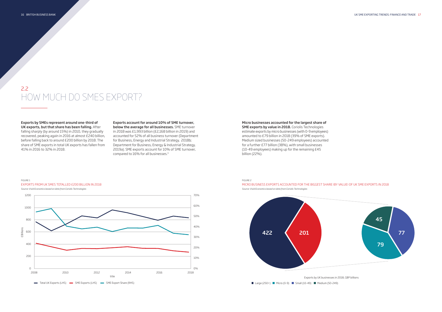## Micro businesses accounted for the largest share of

SME exports by value in 2018. Coriolis Technologies estimate exports by micro businesses (with 0-9 employees) amounted to £79 billion in 2018 (39% of SME exports). Medium sized businesses (50-249 employees) accounted for a further £77 billion (38%), with small businesses (10-49 employees) making up for the remaining £45 billion (22%).

# 2.2 HOW MUCH DO SMES EXPORT?

accounted for 52% of all business turnover (Department for Business, Energy and Industrial Strategy, 2018b; Department for Business, Energy & Industrial Strategy, 2019a). SME exports account for 10% of SME turnover, compared to 16% for all businesses.<sup>3</sup>

Exports by SMEs represent around one-third of UK exports, but that share has been falling. After falling sharply (by around 15%) in 2010, they gradually recovered, peaking again in 2016 at almost £240 billion, before falling back to around £200 billion by 2018. The share of SME exports in total UK exports has fallen from 41% in 2016 to 32% in 2018.

Exports account for around 10% of SME turnover, below the average for all businesses. SME turnover in 2018 was £1,993 billion (£2,168 billion in 2019) and

FIGURE 1



FIGURE 2

MICRO BUSINESS EXPORTS ACCOUNTED FOR THE BIGGEST SHARE (BY VALUE) OF UK SME EXPORTS IN 2018 *Source: Vivid Economics based on data from Coriolis Technologies*



■ Large (250+) Micro (0-9) Small (10-49) Medium (50-249)

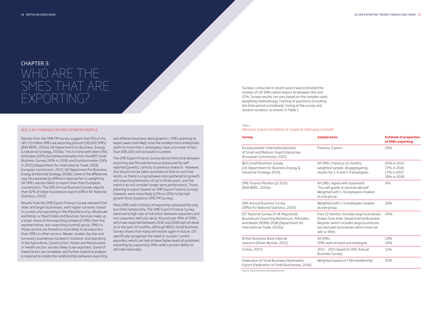# CHAPTER 3: WHO ARE THE SMES THAT ARE EXPORTING?

Results from the SME FM survey suggest that 9% of the UK's 5.9 million SMEs are exporting (around 530,000 SMEs) (BVA BDRC, 2019a; UK Department for Business, Energy & Industrial Strategy, 2019a). This is in line with latest ONS estimates (10%) but below estimates from the BEIS Small Business Survey (18% in 2018) and Eurobarometer (19% in 2015) (Department for International Trade, 2018; European Commission, 2015; UK Department for Business, Energy & Industrial Strategy, 2019b). Some of the differences may be explained by different approaches to weighting. UK SMEs are less likely to export than their European counterparts. The ONS Annual Business Survey reports that 42% of larger businesses export (Office for National Statistics, 2019).

Results from the SME Export Finance Survey revealed that older and larger businesses, with higher turnover, based in London and operating in the Manufacturing, Wholesale and Retail, or Real Estate and Business Services make up a larger share of the exporting sample of SMEs than the representative, non-exporting (control) group. SMEs in these sectors are therefore more likely to be exporters than SMEs in other sectors. Newer, smaller (by size and turnover), businesses located in Scotland, and operating in the Agriculture, Construction, Hotels and Restaurants or Health sectors are less likely to be exporters. Some of these factors are correlated, and further statistical analysis is required to isolate the relationships between exporting

and different business demographics. SMEs planning to export were more likely to be the smallest micro enterprises (with no more than 1 employee), have a turnover of less than £85,000 and be based in London.

The SME Export Finance Survey did not find a link between exporting and firm performance (measured by selfreported growth), contrary to previous research. However, this should not be taken as evidence that no such link exists, as there is a lag between data gathered on growth and exporting behaviour of up to three years, and the metrics do not consider longer term performance. Those planning to export (based on SME Export Finance Survey), however, were more likely (12% vs 10%) to be high growth firms (based on SME FM Survey).

Many SMEs with a history of exporting subsequently stop, but often temporarily. The SME Export Finance Survey observed a high rate of transition between exporters and non-exporters and vice versa. Around one-fifth of SMEs who have exported between 2016 and 2018 had not done so in the past 12 months, although BEIS's Small Business Survey shows that many will restart again in future. DIT specifically recognises the need to 'sustain' current exporters, which can help achieve higher levels of consistent exporting by supporting SMEs with a proven ability to sell internationally.

Surveys conducted in recent years have estimated the number of UK SMEs which export at between 9% and 21%. Survey results can vary based on the samples used, weighting methodology, framing of questions (including the time period considered), timing of the survey and random variation, as shown in Table 1.

#### BOX 3: KEY FINDINGS ON SME EXPORTER PROFILE

#### TABLE 1

#### PREVIOUS SURVEY ESTIMATES OF SHARE OF SMES WHICH EXPORT

| <b>Survey</b>                                                                                                                                               | <b>Sample basis</b>                                                                                                                                                                        | <b>Estimate of proportion</b><br>of SMEs exporting       |  |
|-------------------------------------------------------------------------------------------------------------------------------------------------------------|--------------------------------------------------------------------------------------------------------------------------------------------------------------------------------------------|----------------------------------------------------------|--|
| Eurobarometer: Internationalisation<br>of Small and Medium-Sized Enterprises<br>(European Commission, 2015)                                                 | Previous 3 years                                                                                                                                                                           | 19%                                                      |  |
| <b>BEIS Small Business Survey</b><br>(UK Department for Business Energy &<br>Industrial Strategy, 2019)                                                     | All SMEs. Previous 12 months,<br>weighted sample, disaggregating<br>results for 1-4 and 5-9 employees.                                                                                     | 20% in 2015<br>17% in 2016<br>17% in 2017<br>18% in 2018 |  |
| SME Finance Monitor Q2 2019<br>(BVA BDRC, 2019a)                                                                                                            | All SMEs. Agree with statement<br>"You sell goods or services abroad".<br>Weighted with 1-9 employees treated<br>as one group.                                                             | 9%                                                       |  |
| <b>ONS Annual Business Survey</b><br>(Office for National Statistics, 2019)                                                                                 | Weighted with 1-9 employees treated<br>as one group.                                                                                                                                       | 10%                                                      |  |
| DIT National Survey of UK Registered<br>Businesses' Exporting Behaviours, Attitudes<br>and Needs (NSRB) 2018 (Department for<br>International Trade, 2019a) | Past 12 months. Includes large businesses.<br>Drawn from Inter-Departmental Business<br>Register which includes large businesses<br>but excludes businesses which have not<br>VAT or PAYE. | 24%                                                      |  |
| British Business Bank internal<br>research (Oliver Wyman, 2015)                                                                                             | All SMEs<br>SMEs with at least one employee                                                                                                                                                | 13%<br>19%                                               |  |
| Civitas, 2017)                                                                                                                                              | 2011 - 2015 based on ONS Annual<br><b>Business Survey</b>                                                                                                                                  | 11%                                                      |  |
| Federation of Small Business Destination<br>Export (Federation of Small Businesses, 2016)                                                                   | Weighted based on FSB membership.                                                                                                                                                          | 21%                                                      |  |

*Source: Vivid Economics and listed sources*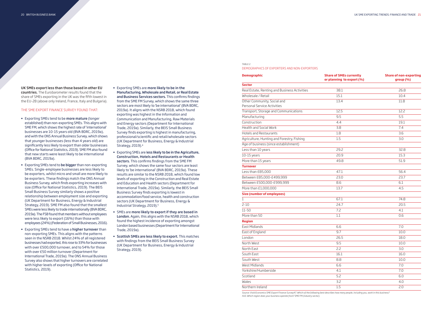UK SMEs export less than those based in other EU countries. The Eurobarometer results found that the share of SMEs exporting in the UK was the fifth lowest in the EU-28 (above only Ireland, France, Italy and Bulgaria).

#### THE SME EXPORT FINANCE SURVEY FOUND THAT:

- Exporting SMEs tend to be more mature (longer established) than non-exporting SMEs. This aligns with SME FM, which shows the highest rate of 'international' businesses are 10-15 years old (BVA BDRC, 2019a), and with the ONS Annual Business Survey, which shows that younger businesses (less than 4 years old) are significantly less likely to export than older businesses (Office for National Statistics, 2019). SME FM also found that new starts were least likely to be international (BVA BDRC, 2019a).
- Exporting SMEs tend to be bigger than non-exporting SMEs. Single-employee businesses are less likely to be exporters, whilst micro and small are more likely to be exporters. These findings match the ONS Annual Business Survey, which finds exporting increases with size (Office for National Statistics, 2019). The BEIS Small Business Survey similarly shows a positive relationship between employment size and exporting (UK Department for Business, Energy & Industrial Strategy, 2019). SME FM also found that the smallest SMEs were less likely to trade internationally (BVA BDRC, 2019a). The FSB found that members without employees were less likely to export (16%) than those with employees (24%) (Federation of Small Businesses, 2016).
- Exporting SMEs tend to have a higher turnover than non-exporting SMEs. This aligns with the patterns seen in the NSRB 2018. Whilst 24% of all registered businesses had exported, this rose to 33% for businesses with over £500,000 turnover, and to 54% for those with over £50 million turnover (Department for International Trade, 2019a). The ONS Annual Business Survey also shows that higher turnovers are correlated with higher levels of exporting (Office for National Statistics, 2019).
- Exporting SMEs are more likely to be in the Manufacturing, Wholesale and Retail, or Real Estate and Business Services sectors. This confirms findings from the SME FM Survey, which shows the same three sectors are most likely to 'be international' (BVA BDRC, 2019a). It aligns with the NSRB 2018, which found exporting was highest in the Information and Communication and Manufacturing, Raw Materials and Energy sectors (Department for International Trade, 2019a). Similarly, the BEIS Small Business Survey finds exporting is highest in manufacturing, professional/scientific and retail/wholesale sectors (UK Department for Business, Energy & Industrial Strategy, 2019).4
- Exporting SMEs are less likely to be in the Agriculture, Construction, Hotels and Restaurants or Health sectors. This confirms findings from the SME FM Survey, which shows the same four sectors are least likely to 'be international' (BVA BDRC, 2019a). These results are similar to the NSRB 2018, which found low levels of exporting in the Construction and Real Estate and Education and Health sectors (Department for International Trade, 2019a). Similarly, the BEIS Small Business Survey finds exporting is lowest in accommodation/food service, health and construction sectors (UK Department for Business, Energy & Industrial Strategy, 2019).5
- SMEs are more likely to export if they are based in London. Again, this aligns with the NSRB 2018, which found the highest incidence of exporting amongst London based businesses (Department for International Trade, 2019a).
- Scottish SMEs are less likely to export. This matches with findings from the BEIS Small Business Survey (UK Department for Business, Energy & Industrial Strategy, 2019).

#### TABLE 2 DEMOGRAPHICS OF EXPORTERS AND NON-EXPORTERS

| <b>Demographic</b>                                         | <b>Share of SMEs currently</b><br>or planning to export (%) | <b>Share of non-exporting</b><br>group (%) |  |  |
|------------------------------------------------------------|-------------------------------------------------------------|--------------------------------------------|--|--|
| <b>Sector</b>                                              |                                                             |                                            |  |  |
| Real Estate, Renting and Business Activities               | 38.1                                                        | 26.8                                       |  |  |
| Wholesale / Retail                                         | 15.1                                                        | 10.4                                       |  |  |
| Other Community, Social and<br>Personal Service Activities | 13.4                                                        | 11.8                                       |  |  |
| Transport, Storage and Communications                      | 12.5                                                        | 12.2                                       |  |  |
| Manufacturing                                              | 9.5                                                         | 5.5                                        |  |  |
| Construction                                               | 4.4                                                         | 19.1                                       |  |  |
| <b>Health and Social Work</b>                              | 3.8                                                         | 7.4                                        |  |  |
| <b>Hotels and Restaurants</b>                              | 1.8                                                         | 3.6                                        |  |  |
| Agriculture, Hunting and Forestry, Fishing                 | 1.5                                                         | 3.0                                        |  |  |
| Age of business (since establishment)                      |                                                             |                                            |  |  |
| Less than 10 years                                         | 29.2                                                        | 32.8                                       |  |  |
| 10-15 years                                                | 20.9                                                        | 15.3                                       |  |  |
| More than 15 years                                         | 49.8                                                        | 51.9                                       |  |  |
| <b>Turnover</b>                                            |                                                             |                                            |  |  |
| Less than £85,000                                          | 47.1                                                        | 56.4                                       |  |  |
| Between £85,000-£499,999                                   | 23.0                                                        | 23.7                                       |  |  |
| Between £500,000-£999,999                                  | 8.6                                                         | 6.1                                        |  |  |
| More than £1,000,000                                       | 13.7                                                        | 4.5                                        |  |  |
| <b>Size (number of employees)</b>                          |                                                             |                                            |  |  |
| 1                                                          | 67.1                                                        | 74.8                                       |  |  |
| $2 - 10$                                                   | 24.7                                                        | 20.5                                       |  |  |
| $11 - 50$                                                  | 7.2                                                         | 4.1                                        |  |  |
| More than 50                                               | 1.1                                                         | 0.6                                        |  |  |
| <b>Region</b>                                              |                                                             |                                            |  |  |
| East Midlands                                              | 6.6                                                         | 7.0                                        |  |  |
| East of England                                            | 9.7                                                         | 10.0                                       |  |  |
| London                                                     | 26.5                                                        | 18.0                                       |  |  |
| North West                                                 | 9.5                                                         | 10.0                                       |  |  |
| North East                                                 | 2.2                                                         | 3.0                                        |  |  |
| South East                                                 | 16.1                                                        | 16.0                                       |  |  |
| South West                                                 | 8.8                                                         | 10.0                                       |  |  |
| <b>West Midlands</b>                                       | 6.6                                                         | 7.0                                        |  |  |
| Yorkshire/Humberside                                       | 4.1                                                         | 7.0                                        |  |  |
| Scotland                                                   | 5.2                                                         | 6.0                                        |  |  |
| Wales                                                      | 3.2                                                         | 4.0                                        |  |  |
| Northern Ireland                                           | 1.5                                                         | 2.0                                        |  |  |
|                                                            |                                                             |                                            |  |  |

*Source: Vivid Economics SME Export Finance SurveyA7. Which of the following best describes how many people, including you, work in this business? A10. Which region does your business operate from? SME FM (industry sector).*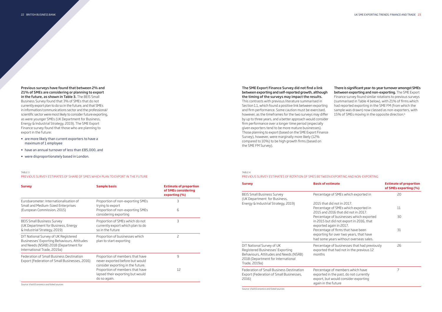There is significant year-to-year turnover amongst SMEs between exporting and non-exporting. The SME Export Finance survey found similar rotations to previous surveys (summarised in Table 4 below), with 21% of firms which had reported exporting in the SME FM (from which the sample was drawn) now classed as non-exporters, with 15% of SMEs moving in the opposite direction.<sup>6</sup>

Previous surveys have found that between 2% and 21% of SMEs are considering or planning to export in the future, as shown in Table 3. The BEIS Small Business Survey found that 3% of SMEs that do not currently export plan to do so in the future, and that SMEs in information/communications sector and the professional/ scientific sector were most likely to consider future exporting, as were younger SMEs (UK Department for Business, Energy & Industrial Strategy, 2019). The SME Export Finance survey found that those who are planning to export in the future:

- are more likely than current exporters to have a maximum of 1 employee
- have an annual turnover of less than £85,000, and
- were disproportionately based in London.

The SME Export Finance Survey did not find a link between exporting and self-reported growth, although the timing of the surveys may impact the results.

This contrasts with previous literature summarised in Section 1.1, which found a positive link between exporting and firm performance. Some caution must be exercised, however, as the timeframes for the two surveys may differ by up to three years, and a better approach would consider firm performance over a longer time period (especially given exporters tend to be more mature businesses). Those planning to export (based on the SME Export Finance Survey), however, were marginally more likely (12% compared to 10%) to be high growth firms (based on the SME FM Survey).

#### TABLE 3

PREVIOUS SURVEY ESTIMATES OF SHARE OF SMES WHICH PLAN TO EXPORT IN THE FUTURE

TABLE 4

PREVIOUS SURVEY ESTIMATES OF ROTATION OF SMES BETWEEN EXPORTING AND NON-EXPORTING

| <b>Survey</b>                                                                                                                                               | <b>Sample basis</b>                                                                                                                        | <b>Estimate of proportion</b><br>of SMEs considering<br>exporting (%) |
|-------------------------------------------------------------------------------------------------------------------------------------------------------------|--------------------------------------------------------------------------------------------------------------------------------------------|-----------------------------------------------------------------------|
| Eurobarometer: Internationalisation of<br>Small and Medium-Sized Enterprises<br>(European Commission, 2015)                                                 | Proportion of non-exporting SMEs<br>trying to export<br>Proportion of non-exporting SMEs<br>considering exporting                          | З<br>6                                                                |
| <b>BEIS Small Business Survey</b><br>(UK Department for Business, Energy<br>& Industrial Strategy, 2019)                                                    | Proportion of SMEs which do not<br>currently export which plan to do<br>so in the future                                                   | 3                                                                     |
| DIT National Survey of UK Registered<br>Businesses' Exporting Behaviours, Attitudes<br>and Needs (NSRB) 2018 (Department for<br>International Trade, 2019a) | Proportion of businesses which<br>plan to start exporting                                                                                  | $\overline{c}$                                                        |
| Federation of Small Business Destination<br>Export (Federation of Small Businesses, 2016)                                                                   | Proportion of members that have<br>never exported before but would<br>consider exporting in the future.<br>Proportion of members that have | $\overline{9}$<br>12                                                  |
|                                                                                                                                                             | lapsed their exporting but would<br>do so again.                                                                                           |                                                                       |

*Source: Vivid Economics and listed sources*

| <b>Survey</b>                                                                                                                                                  | <b>Basis of estimate</b>                                                                                                                  | <b>Estimate of proportion</b><br>of SMEs exporting (%) |
|----------------------------------------------------------------------------------------------------------------------------------------------------------------|-------------------------------------------------------------------------------------------------------------------------------------------|--------------------------------------------------------|
| <b>BEIS Small Business Survey</b><br>(UK Department for Business,                                                                                              | Percentage of SMEs which exported in                                                                                                      | 20                                                     |
| Energy & Industrial Strategy, 2019)                                                                                                                            | 2015 that did not in 2017.                                                                                                                |                                                        |
|                                                                                                                                                                | Percentage of SMEs which exported in<br>2015 and 2016 that did not in 2017.                                                               | 11                                                     |
|                                                                                                                                                                | Percentage of businesses which exported<br>in 2015 but did not export in 2016, that<br>exported again in 2017.                            | 30                                                     |
|                                                                                                                                                                | Percentage of firms that have been<br>exporting for over two years, that have<br>had some years without overseas sales.                   | 31                                                     |
| DIT National Survey of UK<br>Registered Businesses' Exporting<br>Behaviours, Attitudes and Needs (NSRB)<br>2018 (Department for International<br>Trade, 2019a) | Percentage of businesses that had previously<br>exported that had not in the previous 12<br>months                                        | 26                                                     |
| Federation of Small Business Destination<br>Export (Federation of Small Businesses,<br>2016)                                                                   | Percentage of members which have<br>exported in the past, do not currently<br>export, but would consider exporting<br>again in the future | 7                                                      |

*Source: Vivid Economics and listed sources*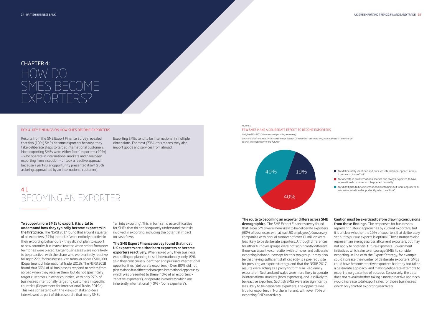# CHAPTER 4: HOW DO SMES BECOME EXPORTERS?

Results from the SME Export Finance Survey revealed that few (19%) SMEs become exporters because they take deliberate steps to target international customers. Most exporting SMEs were either 'born' exporters (40%) – who operate in international markets and have been exporting from inception – or took a reactive approach because a particular opportunity presented itself (such as being approached by an international customer).

Exporting SMEs tend to be international in multiple dimensions. For most (73%) this means they also import goods and services from abroad.

#### BOX 4: KEY FINDINGS ON HOW SMES BECOME EXPORTERS

#### To support more SMEs to export, it is vital to understand how they typically become exporters in

the first place. The NSRB 2017 found that around a quarter of all exporters (27%) in the UK 'were entirely reactive in their exporting behaviours – they did not plan to export to new countries but instead reacted when orders from new territories were placed.' Larger businesses were more likely to be proactive, with the share who were entirely reactive falling to 22% for businesses with turnover above £500,000 (Department of International Trade, 2018). The NSRB 2018 found that 66% of all businesses respond to orders from abroad when they receive them, but do not specifically target customers in other countries, with only 27% of businesses intentionally targeting customers in specific countries (Department for International Trade, 2019a). This was consistent with the views of stakeholders interviewed as part of this research; that many SMEs

exporters reactively. When asked why their business was selling or planning to sell internationally, only 19% said they consciously identified and pursued international opportunities ('deliberate exporters'). Over 80% did not plan to do so but either took an open international opportunity which was presented to them (40% of all exporters – 'reactive exporters'), or operate in markets which are inherently international (40% - 'born exporters').

'fall into exporting'. This in turn can create difficulties for SMEs that do not adequately understand the risks involved in exporting, including the potential impact on cash flows.

### The SME Export Finance survey found that most UK exporters are either born exporters or become

'We operate in an international market and always expected to have international customers - it happened naturally

The route to becoming an exporter differs across SME demographics. The SME Export Finance survey found that larger SMEs were more likely to be deliberate exporters (30% of businesses with at least 50 employees). Conversely, companies with annual turnover of over £1 million were less likely to be deliberate exporters. Although differences for other turnover groups were not significantly different, there was a positive correlation with turnover and deliberate exporting behaviour except for this top group. It may also be that having sufficient staff capacity is a pre-requisite for pursuing an export strategy, and that the NSRB 2017 results were acting as a proxy for firm size. Regionally, exporters in Scotland and Wales were more likely to operate in international markets (born exporters), and less likely to be reactive exporters. Scottish SMEs were also significantly less likely to be deliberate exporters. The opposite was true for exporters in Northern Ireland, with over 70% of exporting SMEs reactively.

Caution must be exercised before drawing conclusions from these findings. The responses for businesses represent historic approaches by current exporters, but it is unclear whether the 19% of exporters that deliberately set out to pursue exports is optimal. These numbers also represent an average across all current exporters, but may not apply to potential future exporters. Government initiatives which aim to encourage SMEs to consider exporting, in line with the Export Strategy, for example, could increase the number of deliberate exporters. SMEs could have become reactive exporters had they not taken a deliberate approach, and making deliberate attempts to export is no guarantee of success. Conversely, the data does not reveal whether taking a more proactive approach would increase total export sales for those businesses which only started exporting reactively.

## 4.1 BECOMING AN EXPORTER

'We deliberately identified and pursued international opportunities it was conscious effort'

'We didn't plan to have international customers but were approached/ saw an international opportunity, which we took'



*Weighted N = 800 (all current and planning exporters).*

*Source: Vivid Economics SME Export Finance Survey: C1 Which best describes why your business is (planning on selling) internationally (in the future)?* 

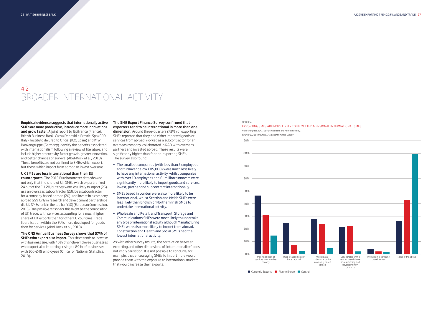Empirical evidence suggests that internationally active SMEs are more productive, introduce more innovations and grow faster. A joint report by Bpifrance (France), British Business Bank, Cassa Depositi e Prestiti Spa (CDP, Italy), Instituto de Credito Oficial (ICO, Spain) and KfW Bankengruppe (Germany) identify the benefits associated with internationalism following a review of literature, and include higher productivity, faster growth, greater innovation, and better chances of survival (Abel-Kock et al., 2018). These benefits are not confined to SMEs which export, but those which import from abroad or invest overseas.

#### UK SMEs are less international than their EU

counterparts. The 2015 Eurobarometer data showed not only that the share of UK SMEs which export ranked 24 out of the EU-28, but they were less likely to import (26), use an overseas subcontractor (23), be a subcontractor for a company based abroad (20), and invest in a company abroad (22). Only in research and development partnerships did UK SMEs rank in the top half (10) (European Commission, 2015). One possible reason for this might be the composition of UK trade, with services accounting for a much higher share of UK exports than for other EU countries. Trade liberalisation within the EU is more developed for goods than for services (Abel-Kock et al., 2018).

The ONS Annual Business Survey shows that 57% of **SMEs who export also import.** This share tends to increase with business size, with 45% of single-employee businesses who export also importing, rising to 89% of businesses with 100-249 employees (Office for National Statistics, 2019).

The SME Export Finance Survey confirmed that exporters tend to be international in more than one dimension. Around three-quarters (73%) of exporting SMEs reported that they had either imported goods or services from abroad, worked as a subcontractor for an overseas company, collaborated in R&D with overseas partners and invested abroad. These results were significantly higher than for non-exporting SMEs. The survey also found:

- The smallest companies (with less than 2 employees and turnover below £85,000) were much less likely to have any international activity, whilst companies with over 10 employees and £1 million turnovers were significantly more likely to import goods and services, invest, partner and subcontract internationally.
- SMEs based in London were also more likely to be international, whilst Scottish and Welsh SMEs were less likely than English or Northern Irish SMEs to undertake international activity.
- Wholesale and Retail, and Transport, Storage and Communications SMEs were most likely to undertake any type of international activity, although Manufacturing SMEs were also more likely to import from abroad. Construction and Health and Social SMEs had the lowest international activity.

As with other survey results, the correlation between exporting and other dimensions of 'internationalism' does not imply causation. It is not possible to conclude, for example, that encouraging SMEs to import more would provide them with the exposure to international markets that would increase their exports.

# 4.2 BROADER INTERNATIONAL ACTIVITY

#### FIGURE 4 EXPORTING SMES ARE MORE LIKELY TO BE MULTI-DIMENSIONAL INTERNATIONAL SMES *Note: Weighted. N=1198 (all exporters and non-exporters).*

*Source: Vivid Economics SME Export Finance Survey*

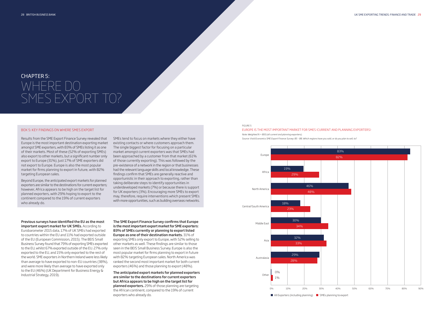Results from the SME Export Finance Survey revealed that Europe is the most important destination exporting market amongst SME exporters, with 83% of SMEs listing it as one of their markets. Most of these (52% of exporting SMEs) also export to other markets, but a significant number only export to Europe (31%). Just 17% of SME exporters did not export to Europe. Europe is also the most popular market for firms planning to export in future, with 82% targeting European sales.

Beyond Europe, the anticipated export markets for planned exporters are similar to the destinations for current exporters; however, Africa appears to be high on the target list for planned exporters, with 29% hoping to export to the continent compared to the 19% of current exporters who already do.

SMEs tend to focus on markets where they either have existing contacts or where customers approach them. The single biggest factor for focusing on a particular market amongst current exporters was that SMEs had been approached by a customer from that market (61% of those currently exporting). This was followed by the pre-existence of a network in the region or that businesses had the relevant language skills and local knowledge. These findings confirm that SMEs are generally reactive and opportunistic in their approach to exporting, rather than taking deliberate steps to identify opportunities in underdeveloped markets (7%) or because there is support for UK exporters (3%). Encouraging more SMEs to export may, therefore, require interventions which present SMEs with more opportunities, such as building overseas networks.

## Previous surveys have identified the EU as the most

important export market for UK SMEs. According to Eurobarometer 2015 data, 17% of UK SMEs had exported to countries within the EU and 11% had exported outside of the EU (European Commission, 2015). The BEIS Small Business Survey found that 79% of exporting SMEs exported to the EU, whilst 67% exported outside of the EU. 27% only exported to the EU, and 15% only exported to the rest of the world. SME exporters in Northern Ireland were less likely than average to have exported to non-EU countries (38%), and were more likely than average to have exported only to the EU (46%) (UK Department for Business Energy & Industrial Strategy, 2019).

The SME Export Finance Survey confirms that Europe is the most important export market for SME exporters: 83% of SMEs currently or planning to export listed Europe as one of their destination markets. 31% of exporting SMEs only export to Europe, with 52% selling to other markets as well. These findings are similar to those seen in the BEIS Small Business Survey. Europe is also the most popular market for firms planning to export in future with 82% targeting European sales. North America was ranked the second most important market for both current exporters (46%) and those planning to export (48%).

The anticipated export markets for planned exporters are similar to the destinations for current exporters but Africa appears to be high on the target list for planned exporters. 29% of those planning are targeting the African continent, compared to the 19% of current exporters who already do.

#### BOX 5: KEY FINDINGS ON WHERE SMES EXPORT

# CHAPTER 5: WHERE DO SMES EXPORT TO?

#### FIGURE 5

### EUROPE IS THE MOST IMPORTANT MARKET FOR SMES (CURRENT AND PLANNING EXPORTERS)

#### *Note: Weighted N = 800 (all current and planning exporters).*

*Source: Vivid Economics SME Export Finance Survey: B5 – B8. Which regions have you sold, or do you plan to sell, to?*

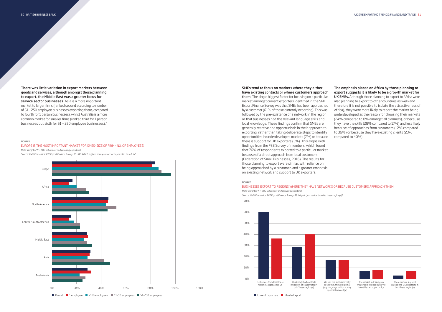## The emphasis placed on Africa by those planning to export suggests it is likely to be a growth market for

UK SMEs. Although those planning to export to Africa were also planning to export to other countries as well (and therefore it is not possible to isolate the attractiveness of Africa), they were more likely to report the market being underdeveloped as the reason for choosing their markets (24% compared to 8% amongst all planners), or because they have the skills (28% compared to 17%) and less likely because of approaches from customers (12% compared to 36%) or because they have existing clients (23% compared to 40%).

There was little variation in export markets between goods and services, although amongst those planning to export, the Middle East was a greater focus for service sector businesses. Asia is a more important market to larger firms (ranked second according to number of 51 – 250 employee businesses exporting there, compared to fourth for 1 person businesses), whilst Australia is a more common market for smaller firms (ranked third for 1 person businesses but sixth for 51 – 250 employee businesses).7

#### SMEs tend to focus on markets where they either have existing contacts or where customers approach

them. The single biggest factor for focusing on a particular market amongst current exporters identified in the SME Export Finance Survey was that SMEs had been approached by a customer (61% of those currently exporting). This was followed by the pre-existence of a network in the region or that businesses had the relevant language skills and local knowledge. These findings confirm that SMEs are generally reactive and opportunistic in their approach to exporting, rather than taking deliberate steps to identify opportunities in underdeveloped markets (7%) or because there is support for UK exporters (3%). This aligns with findings from the FSB Survey of members, which found that 76% of respondents exported to a particular market because of a direct approach from local customers (Federation of Small Businesses, 2016). The results for those planning to export were similar, with reliance on being approached by a customer, and a greater emphasis on existing network and support to UK exporters.

#### FIGURE 6

EUROPE IS THE MOST IMPORTANT MARKET FOR SMES (SIZE OF FIRM - NO. OF EMPLOYEES) *Note: Weighted N = 800 (all current and planning exporters).*

*Source: Vivid Economics SME Export Finance Survey: B5 – B8. Which regions have you sold, or do you plan to sell, to?*





#### FIGURE 7

#### BUSINESSES EXPORT TO REGIONS WHERE THEY HAVE NETWORKS OR BECAUSE CUSTOMERS APPROACH THEM

*Note: Weighted N = 800 (all current and planning exporters).*

*Source: Vivid Economics SME Export Finance Survey: B9. Why did you decide to sell to these region(s)?*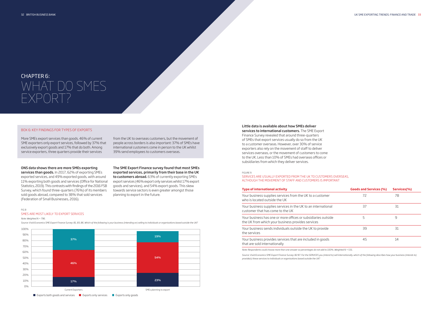More SMEs export services than goods. 46% of current SME exporters only export services, followed by 37% that exclusively export goods and 17% that do both. Among service exporters, three quarters provide their services

from the UK to overseas customers, but the movement of people across borders is also important: 37% of SMEs have international customers come in person to the UK whilst 39% send employees to customers overseas.

services than goods. In 2017, 62% of exporting SMEs exported services, and 49% exported goods, with around 11% exporting both goods and services (Office for National Statistics, 2019). This contrasts with findings of the 2016 FSB Survey, which found three-quarters (76%) of its members sold goods abroad, compared to 38% that sold services (Federation of Small Businesses, 2016).

#### ONS data shows there are more SMEs exporting

#### Little data is available about how SMEs deliver services to international customers. The SME Export

The SME Export Finance survey found that most SMEs exported services, primarily from their base in the UK to customers abroad. 63% of currently exporting SMEs export services (46% export only services whilst 17% export goods and services), and 54% export goods. This skew towards service sectors is even greater amongst those planning to export in the future.

Your business supplies services from the UK to a customer who is located outside the UK

Your business supplies services in the UK to an international customer that has come to the UK

Your business has one or more offices or subsidiaries outside the UK from which your business provides services

Your business sends individuals outside the UK to provide the services

Your business provides services that are included in goods that are sold internationally

Finance Survey revealed that around three-quarters of SMEs that export services usually do so from the UK to a customer overseas. However, over 30% of service exporters also rely on the movement of staff to deliver services overseas, or the movement of customers to come to the UK. Less than 10% of SMEs had overseas offices or subsidiaries from which they deliver services.

Source: Vivid Economics SME Export Finance Survey: B2 B7. For the SERVICES you (intend to) sell internationally, which of the following describes how your business (intends to) *provide(s) these services to individuals or organisations based outside the UK?* 

| Goods and Services (%) Services (%) |    |
|-------------------------------------|----|
| 72                                  | 78 |
| 37                                  | 31 |
| 5                                   | 9  |
| 39                                  | 31 |
| 45                                  | 14 |

#### BOX 6: KEY FINDINGS FOR TYPES OF EXPORTS

# CHAPTER 6: WHAT DO SMES EXPORT?

#### FIG 8 SMES ARE MOST LIKELY TO EXPORT SERVICES

*Note: Weighted N = 796.*





Exports both goods and services Exports only services Exports only goods

#### FIGURE 9

SERVICES ARE USUALLY EXPORTED FROM THE UK TO CUSTOMERS OVERSEAS, ALTHOUGH THE MOVEMENT OF STAFF AND CUSTOMERS IS IMPORTANT

#### **Type of international activity**

*Note: Respondents could choose more than one answer so percentages do not add to 100%. Weighted N = 531.*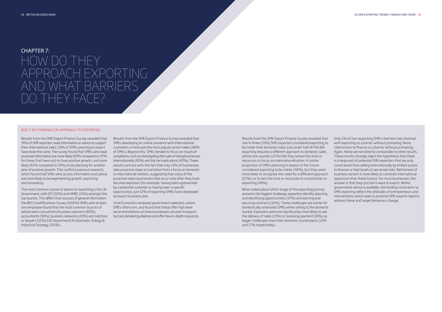Results from the SME Export Finance Survey revealed that 35% of SME exporters seek information or advice to support their international sales; 19% of SMEs planning to export have done the same. The survey found that SMEs who have accessed information are more likely (50% compared to 37% for those that have not) to have positive growth, and more likely (42% compared to 33%) to be planning for another year of positive growth. This confirms previous research, which found that SMEs who access information and advice are more likely to be experiencing growth, exporting and innovating.

The most common source of advice on exporting is the UK Government, with DIT (22%) and HMRC (15%) amongst the top sources. This differs from sources of general information: the BEIS Small Business Survey 2018 for SMEs with at least one employee found that the most common sources of advice were consultants/business advisers (40%); accountants (30%); business networks (20%) and solicitors or lawyers (11%) (UK Department for Business, Energy & Industrial Strategy, 2019c).

Results from the SME Export Finance Survey revealed that SMEs developing an online presence with international customers in mind was the most popular action taken (48% of SMEs). Beyond this, SMEs tended to focus on issues of compliance, such as investigating the rules of doing businesses internationally (45%) and the tax implications (40%). These results contrast with the fact that only 19% of businesses take proactive steps to transition from a focus on domestic to international markets, suggesting that many of the proactive steps businesses take occur only after they have become exporters (for example, having been approached by a potential customer or having seen a specific opportunity). Just 12% of exporting SMEs have developed an export business plan.

Vivid Economics reviewed government websites, where SMEs often turn, and found that these offer high level recommendations on how businesses can plan to export, but lack detailed guidelines and offer few in-depth resources.

#### BOX 7: KEY FINDINGS ON APPROACH TO EXPORTING

# CHAPTER 7: HOW DO THEY APPROACH EXPORTING AND WHAT BARRIERS DO THEY FACE?

Results from the SME Export Finance Survey revealed that one in three (33%) SME exporters considered exporting to be riskier than domestic sales. Just under half (47%) felt exporting required a different approach to domestic sales, whilst one-quarter (25%) felt they lacked the time or resources to focus on internationalisation. A similar proportion of SMEs planning to export in the future considered exporting to be riskier (36%), but they were more likely to recognise the need for a different approach (57%), or to lack the time or resources to concentrate on exporting (49%).

When asked about which stage of the exporting journey presents the biggest challenge, exporters identify planning and identifying opportunities (37%) and winning and securing contracts (32%). These challenges are similar for domestically orientated SMEs when selling to the domestic market. Exporters were not significantly more likely to see the delivery of sales (13%) or receiving payment (18%) as bigger challenges than their domestic counterparts (13% and 17% respectively).

Only 2% of non-exporting SMEs cited the risks involved with exporting as a barrier without prompting. None cited access to finance as a barrier without prompting. Again, these are not directly comparable to other results. These results strongly reject the hypothesis that there is a large pool of potential SME exporters that are only constrained from selling internationally by limited access to finance or high levels of perceived risks. Retirement of business owners is more likely to constrain international expansion than these factors. For most businesses, the answer is that they just don't want to export. Whilst government advice is available, the binding constraints to SME exporting reflect the attitudes of entrepreneurs and interventions which seek to promote SME exports need to address these and target behaviour change.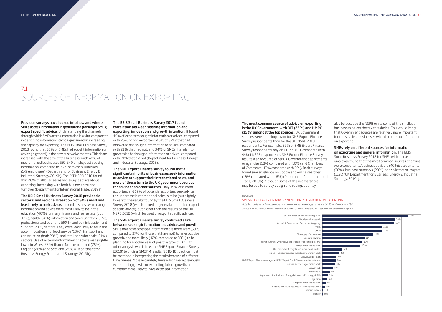SMEs rely on different sources for information on exporting and general information. The BEIS Small Business Survey 2018 for SMEs with at least one employee found that the most common sources of advice were consultants/business advisers (40%); accountants (30%); business networks (20%), and solicitors or lawyers (11%) (UK Department for Business, Energy & Industrial Strategy, 2019c).

also be because the NSRB omits some of the smallest businesses below the tax thresholds. This would imply that Government sources are relatively more important for the smallest businesses when it comes to information on exporting.

#### The most common source of advice on exporting is the UK Government, with DIT (22%) and HMRC (15%) amongst the top sources. UK Government sources were more important for SME Export Finance Survey respondents than for the DIT NSRB 2018 respondents. For example, 22% of SME Export Finance Survey respondents rely on DIT or UKTI, compared with 9% of NSRB respondents. SME Export Finance Survey results also favoured other UK Government departments or agencies (18% compared with 10%) and Chambers of Commerce (13% compared with 9%). Both surveys found similar reliance on Google and online searches (18% compared with 16%) (Department for International Trade, 2019a). Although some of these differences may be due to survey design and coding, but may

Previous surveys have looked into how and where SMEs access information in general and (for larger SMEs) export specific advice. Understanding the channels through which SMEs access information is a vital component in designing information campaigns aimed at increasing the capacity for exporting. The BEIS Small Business Survey 2018 found that 26% of SMEs had sought information or advice (in general) in the previous twelve months. This share increased with the size of the business, with 40% of medium sized businesses (50-249 employees) seeking information, compared to 25% of micro businesses (1-9 employees) (Department for Business, Energy & Industrial Strategy, 2019b). The DIT NSRB 2018 found that 28% of all businesses had sought advice about exporting, increasing with both business size and turnover (Department for International Trade, 2019a).

The BEIS Small Business Survey 2018 provided a sectoral and regional breakdown of SMEs most and least likely to seek advice. It found business which sought information and advice were most likely to be in the education (40%), primary, finance and real estate (both 37%), health (34%), information and communication (31%), professional and scientific (30%), and administration and support (29%) sectors. They were least likely to be in the accommodation and food service (18%), transport and construction (both 20%), and retail and wholesale (21%) sectors. Use of external information or advice was slightly lower in Wales (23%) than in Northern Ireland (25%), England (26%) and Scotland (28%) (Department for Business Energy & Industrial Strategy, 2019b).

The BEIS Small Business Survey 2017 found a correlation between seeking information and exporting, innovation and growth intention. It found 40% of exporters sought information or advice, compared with 26% of non-exporters; 40% of SMEs that had innovated had sought information or advice, compared with 21% that had not; and 34% of SMEs that plan to grow sales had sought information or advice, compared with 21% that did not (Department for Business, Energy and Industrial Strategy, 2018).

The SME Export Finance survey found that a significant minority of businesses seek information or advice to support their international sales, and more of these turn to the UK government sources for advice than other sources. Only 35% of current exporters and 19% of potential exporters seek advice to support their international sales, similar (but slightly lower) to the results found by the BEIS Small Business Survey 2018 (which looked at general, rather than export specific advice), but higher than the results of the DIT NSRB 2018 (which focused on export specific advice).

The SME Export Finance survey confirmed a link between seeking information and advice, and growth. SMEs that have accessed information are more likely (50% compared to 37% for those that have not) to have positive growth, and more likely (42% compared to 33%) to be planning for another year of positive growth. As with other analysis which links the SME Export Finance Survey (2019) to original SME FM results (2016-18), caution must be exercised in interpreting the results because of different time frames. More accurately, firms which were previously experiencing growth or expecting future growth, are currently more likely to have accessed information.

# 7.1 SOURCES OF INFORMATION ON EXPORTING

#### FIGURE 10

SMES RELY HEAVILY ON GOVERNMENT FOR INFORMATION ON EXPORTING

*Note: Respondents could choose more than one answer so percentages do not add to 100%. Weighted N = 284. Source: Vivid Economics SME Export Finance Survey: C4. Who / where do you seek information and advice from?* 

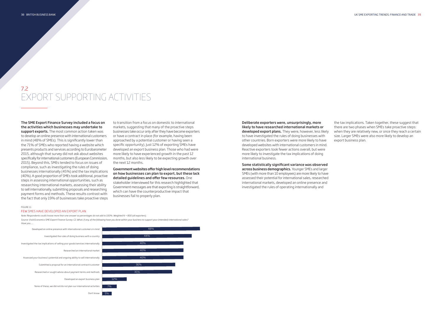The SME Export Finance Survey included a focus on the activities which businesses may undertake to support exports. The most common action taken was to develop an online presence with international customers in mind (48% of SMEs). This is significantly lower than the 71% of SMEs who reported having a website which presents products and services according to Eurobarometer 2015, although that survey did not ask about websites specifically for international customers (European Commission, 2015). Beyond this, SMEs tended to focus on issues of compliance, such as investigating the rules of doing businesses internationally (45%) and the tax implications (40%). A good proportion of SMEs took additional, proactive steps in assessing international opportunities, such as researching international markets, assessing their ability to sell internationally, submitting proposals and researching payment forms and methods. These results contrast with the fact that only 19% of businesses take proactive steps

to transition from a focus on domestic to international markets, suggesting that many of the proactive steps businesses take occur only after they have become exporters or have a contract in place (for example, having been approached by a potential customer or having seen a specific opportunity). Just 12% of exporting SMEs have developed an export business plan. Those who had were more likely to have experienced growth in the past 12 months, but also less likely to be expecting growth over the next 12 months.

Government websites offer high level recommendations on how businesses can plan to export, but these lack detailed guidelines and offer few resources. One stakeholder interviewed for this research highlighted that Government messages are that exporting is straightforward, which can have the counterproductive impact that businesses fail to properly plan.

Deliberate exporters were, unsurprisingly, more likely to have researched international markets or developed export plans. They were, however, less likely to have investigated the rules of doing businesses with other countries. Born exporters were more likely to have developed websites with international customers in mind. Reactive exporters took fewer actions overall, but were more likely to investigate the tax implications of doing international business.

Some statistically significant variance was observed across business demographics. Younger SMEs and larger SMEs (with more than 10 employees) are more likely to have assessed their potential for international sales, researched international markets, developed an online presence and investigated the rules of operating internationally and

the tax implications. Taken together, these suggest that there are two phases when SMEs take proactive steps: when they are relatively new, or once they reach a certain size. Larger SMEs were also more likely to develop an export business plan.

## 7.2 EXPORT SUPPORTING ACTIVITIES



#### FIGURE 11

#### FEW SMES HAVE DEVELOPED AN EXPORT PLAN

*Note: Respondents could choose more than one answer so percentages do not add to 100%. Weighted N = 800 (all exporters). Source: Vivid Economics SME Export Finance Survey: C2. What, if any, of the following have you done within your business to support your (intended) international sales? Have you......*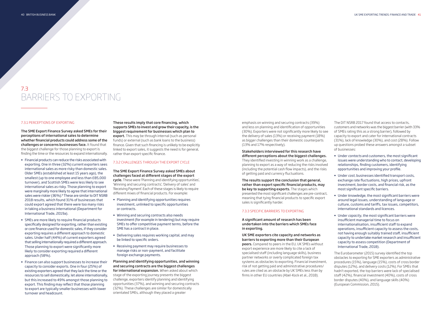The DIT NSRB 2017 found that access to contacts, customers and networks was the biggest barrier (with 33% of SMEs rating this as a strong barrier), followed by capacity to export and cater for international contracts (31%), lack of knowledge (30%), and cost (28%). Follow up questions probed these answers amongst a subset of businesses:

- Under *contacts* and customers, the most significant issues were understanding who to contact, developing relationships, finding customers, identifying opportunities and improving your profile.
- Under *cost*, businesses identified transport costs, exchange rate fluctuations, high prices, upfront investment, border costs, and financial risk, as the most significant specific barriers.
- Under *knowledge*, the most significant barriers were around legal issues, understanding of language or culture, customs and tariffs, tax issues, competitors, international standards and licences.
- Under *capacity*, the most significant barriers were insufficient managerial time to focus on internationalisation, insufficient staff to expand operations, insufficient capacity to assess the costs, not having enough suitably trained staff, insufficient capacity to undertake market research and insufficient capacity to assess competition (Department of International Trade, 2018).

The Eurobarometer (2015) survey identified the top obstacles to exporting for SME exporters as administrative procedures (15%), language (15%), costs of cross border disputes (12%), and delivery costs (12%). For SMEs that hadn't exported, the top barriers were lack of specialised staff (42%), financial investment (40%), costs of cross border disputes (40%), and language skills (40%) (European Commission, 2015).

emphasis on winning and securing contracts (39%) and less on planning and identification of opportunities (30%). Exporters were not significantly more likely to see the delivery of sales (13%) or receiving payment (18%) as bigger challenges than their domestic counterparts (13% and 17% respectively).

Stakeholders interviewed for this research have different perceptions about the biggest challenges. They identified investing in winning work as a challenge, planning to export as a way of reducing the risks involved (including the potential cash flow impacts), and the risks of getting paid and currency fluctuations.

The results support the conclusion that general, rather than export specific financial products, may be key to supporting exports. The stages which presented the most significant challenges are pre-contract, meaning that tying financial products to specific export sales is significantly harder.

#### 7.3.3 SPECIFIC BARRIERS TO EXPORTING

A significant amount of research has been undertaken into the barriers which SMEs face in exporting.

UK SME exporters cite capacity and networks as barriers to exporting more than their European peers. Compared to peers in the EU, UK SMEs without export experience are more likely to cite a lack of specialised staff (including language skills), business partner networks or overly complicated foreign tax systems as obstacles to exporting. Financial investment, risk of not getting paid and administrative procedures/ rules are cited as an obstacle by UK SMEs less than by firms in other EU countries (Abel-Kock et al., 2018).

#### 7.3.1 PERCEPTIONS OF EXPORTING

The SME Export Finance Survey asked SMEs for their perceptions of international sales to determine whether financial products could address some of the challenges or concerns businesses face. It found that the biggest challenge for those planning to export is finding the time or the resources to expand internationally.

- Financial products can reduce the risks associated with exporting. One in three (32%) current exporters sees international sales as more risky than domestic sales. Older SMEs (established at least 15 years ago), the smallest (up to one employee and less than £85,000 turnover), and Scottish SMEs were less likely to see international sales as risky. Those planning to export were marginally more likely to agree that international sales were riskier (36%).<sup>8</sup> These are similar to DIT NSRB 2018 results, which found 31% of businesses that could export agreed that there were too many risks in taking a business international (Department for International Trade, 2019a).
- SMEs are more likely to require financial products specifically designed for exporting, rather than existing or core finance used for domestic sales, if they consider exporting requires a different approach to domestic sales. Under half (44%) of current exporters agreed that selling internationally required a different approach. Those planning to export were significantly more likely to consider exporting required a different approach (58%).
- Finance can also support businesses to increase their capacity to consider exports. One in four (25%) of existing exporters agreed that they lack the time or the resources to sell domestically, let alone internationally, but this increased to 49% amongst those planning to export. This finding may reflect that those planning to export are typically smaller businesses with lower turnover and headcount.

These results imply that core financing, which supports SMEs to invest and grow their capacity, is the biggest requirement for businesses which plan to export. This may be through internal (such as personal funds) or external (such as bank loans to the business) finance. Given that such financing is unlikely to be explicitly linked to export sales, it suggests the need is for general, rather than export specific finance.

#### 7.3.2 CHALLENGES THROUGH THE EXPORT CYCLE

The SME Export Finance Survey asked SMEs about challenges faced at different stages of the export cycle. These were 'Planning and identifying opportunities', 'Winning and securing contracts', 'Delivery of sales' and 'Receiving Payment'. Each of these stages is likely to require different mixes of financial products. For example:

- Planning and identifying opportunities requires investment, unlinked to specific opportunities or contracts.
- Winning and securing contracts also needs investment (for example in tendering) but may require SMEs to offer competitive payment terms, before the SME has a contract in place.
- Delivering sales requires working capital, and may be linked to specific orders.
- Receiving payment may require businesses to manage risks or non-payment, and facilitate foreign exchange payments.

Planning and identifying opportunities, and winning and securing contracts are the biggest challenges for international expansion. When asked about which stage of the exporting journey presents the biggest challenge, exporters identify planning and identifying opportunities (37%), and winning and securing contracts (32%). These challenges are similar for domestically orientated SMEs, although they placed a greater

# 7.3 BARRIERS TO EXPORTING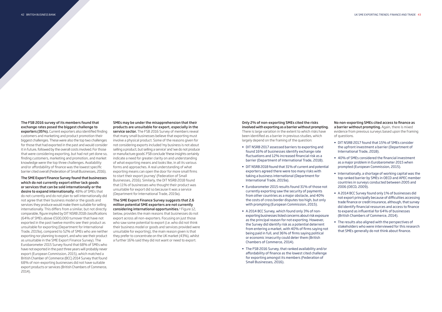No non-exporting SMEs cited access to finance as a barrier without prompting. Again, there is mixed evidence from previous surveys based upon the framing of questions.

- DIT NSRB 2017 found that 15% of SMEs consider the upfront investment a barrier (Department of International Trade, 2018).
- 40% of SMEs considered the financial investment as a major problem in Eurobarometer 2015 when prompted (European Commission, 2015).
- Internationally, a shortage of working capital was the top ranked barrier by SMEs in OECD and APEC member countries in surveys conducted between 2005 and 2006 (OECD, 2009).
- A 2014 BCC Survey found only 1% of businesses did not export principally because of difficulties accessing trade finance or credit insurance, although, that survey did identify financial resources and access to finance to expand as influential for 64% of businesses (British Chambers of Commerce, 2014).
- The results also aligned with the perspectives of stakeholders who were interviewed for this research that SMEs generally do not think about finance.

Only 2% of non-exporting SMEs cited the risks involved with exporting as a barrier without prompting. There is large variation in the extent to which risks have been identified as a barrier in previous studies, which largely depend on the framing of the question:

- DIT NSRB 2017 assessed barriers to exporting and found 16% of businesses identify exchange rate fluctuations and 12% increased financial risk as a barrier (Department of International Trade, 2018).
- DIT NSRB 2018 found that 31% of current and potential exporters agreed there were too many risks with taking a business international (Department for International Trade, 2019a).
- Eurobarometer 2015 results found 31% of those not currently exporting saw the security of payments from other countries as a major obstacle, and 40% the costs of cross border disputes too high, but only with prompting (European Commission, 2015).
- A 2014 BCC Survey, which found only 3% of nonexporting businesses listed concerns about risk exposure as the principal reason for not exporting. However, the Survey did identify risk as a potential deterrent from entering a market, with 40% of firms saying not being paid in full, and 36% of firms saying political or economic insecurity could deter them (British Chambers of Commerce, 2014).
- The FSB 2016 Survey, that ranked availability and/or affordability of finance as the lowest cited challenge for exporting amongst its members (Federation of Small Businesses, 2016).

The FSB 2016 survey of its members found that exchange rates posed the biggest challenge to exporters (35%). Current exporters also identified finding customers and marketing and product promotion their biggest challenges. These were also the top two challenges for those that had exported in the past and would consider it in future, followed by the overall costs involved. For those that were considering exporting, but had not yet done so, finding customers, marketing and promotion, and market knowledge were the top three challenges. Availability and/or affordability of finance was the lowest specific barrier cited overall (Federation of Small Businesses, 2016).

The SME Export Finance Survey found that businesses which do not currently export either lack goods or services that can be sold internationally or the desire to expand internationally. 48% of SMEs that do not currently and do not plan to sell internationally did not agree that their business model or the goods and services they produce would make them suitable for selling internationally. This differs from a similar, but not directly comparable, figure implied by DIT NSRB 2018 classifications (64% of SMEs above £500,000 turnover that have not exported in the past twelve months see their product as unsuitable for exporting (Department for International Trade, 2019a), compared to 52% of SMEs who are neither exporting nor planning to export, and who see their product as unsuitable in the SME Export Finance Survey). The Eurobarometer 2015 Survey found that 68% of SMEs who have not exported in the past three years will probably never export (European Commission, 2015), which matched a British Chamber of Commerce (BCC) 2014 Survey that found 68% of non-exporting businesses did not have suitable export products or services (British Chambers of Commerce, 2014).

SMEs may be under the misapprehension that their products are unsuitable for export, especially in the service sector. The FSB 2016 Survey of members reveal that many small businesses believe that exporting must involve a physical product. Some of the reasons given for not considering exports included 'my business is not about selling a product, but selling a service' and 'we do not produce or manufacture goods'. FSB conclude 'these insights certainly indicate a need for greater clarity on and understanding of what exporting means and looks like, in all its various forms and approaches. A real understanding of what exporting means can open the door for more small firms to start their export journey' (Federation of Small Businesses, 2016). Similarly, the DIT NSRB 2018 found that 11% of businesses who thought their product was unsuitable for export did so because it was a service (Department for International Trade, 2019a).

The SME Export Finance Survey suggests that 2.6 million potential SME exporters are not currently considering international opportunities.<sup>9</sup> Figure 12, below, provides the main reasons that businesses do not export across all non-exporters. Focusing on just those who saw some potential to export (i.e. who did not think their business model or goods and services provided were unsuitable for exporting), the main reason given is that they prefer to concentrate on the UK market (43%), whilst a further 16% said they did not want or need to export.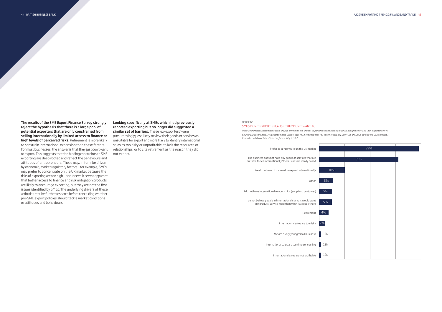### FIGURE 12

#### SMES DON'T EXPORT BECAUSE THEY DON'T WANT TO

*Note: Unprompted. Respondents could provide more than one answer so percentages do not add to 100%. Weighted N = 398 (non-exporters only). Source: Vivid Economics SME Export Finance Survey: B10. You mentioned that you have not sold any SERVICES or GOODS outside the UK in the last 1 2 months and do not intend to in the future. Why is this?*



|        | 39% |  |
|--------|-----|--|
|        |     |  |
|        | 31% |  |
|        |     |  |
| .<br>C |     |  |
|        |     |  |
|        |     |  |
|        |     |  |
|        |     |  |
|        |     |  |
|        |     |  |
|        |     |  |
|        |     |  |
|        |     |  |
|        |     |  |
|        |     |  |
|        |     |  |
|        |     |  |
|        |     |  |
|        |     |  |
|        |     |  |
|        |     |  |
|        |     |  |
|        |     |  |

The results of the SME Export Finance Survey strongly reject the hypothesis that there is a large pool of potential exporters that are only constrained from selling internationally by limited access to finance or high levels of perceived risks. Retirement is more likely to constrain international expansion than these factors. For most businesses, the answer is that they just don't want to export. This suggests that the binding constraints to SME exporting are deep rooted and reflect the behaviours and attitudes of entrepreneurs. These may, in turn, be driven by economic, market regulatory factors – for example, SMEs may prefer to concentrate on the UK market because the risks of exporting are too high – and indeed it seems apparent that better access to finance and risk mitigation products are likely to encourage exporting, but they are not the first issues identified by SMEs. The underlying drivers of these attitudes require further research before concluding whether pro-SME export policies should tackle market conditions or attitudes and behaviours.

Looking specifically at SMEs which had previously reported exporting but no longer did suggested a similar set of barriers. These 'ex-exporters' were (unsurprisingly) less likely to view their goods or services as unsuitable for export and more likely to identify international sales as too risky or unprofitable, to lack the resources or relationships, or to cite retirement as the reason they did not export.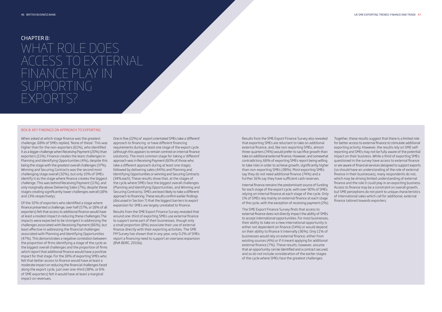When asked at which stage finance was the greatest challenge, 68% of SMEs replied, 'None of these'. This was higher than for the non-exporters (61%), who identified it as a bigger challenge when Receiving Payment (20%) than exporters (11%). Finance creates the least challenges in Planning and Identifying Opportunities (4%), despite this being the stage with the greatest overall challenges (37%). Winning and Securing Contracts was the second most challenging stage overall (32%), but only 10% of SMEs identify it as the stage where finance creates the biggest challenge. This was behind Receiving Payment (11%), and only marginally above Delivering Sales (7%), despite these stages creating significantly lower challenges overall (18% and 13% respectively).

Of the 32% of exporters who identified a stage where finance presented a challenge, over half (57%, or 18% of all exporters) felt that access to additional finance would have at least a modest impact in reducing these challenges.The impacts were expected to be strongest in addressing the challenges associated with Receiving Payment (66%), but least effective in addressing the financial challenges associated with Planning and Identifying Opportunities (47%). This demonstrates a negative correlation between the proportion of firms identifying a stage of the cycle as the biggest overall challenges and the proportion of firms which report that additional finance would have a positive impact for that stage. For the 18% of exporting SMEs who felt that better access to finance would have at least a moderate impact on reducing the financial challenges faced along the export cycle, just over one-third (38%, or 6% of SME exporters) felt it would have at least a marginal impact on revenues.

One in five (22%) of export orientated SMEs take a 'different' approach to financing or have different financing requirements during at least one stage of the export cycle (although this appears to remain centred on internal finance solutions). The most common stage for taking a 'different' approach was in Receiving Payment (60% of those who take a different approach during at least one stage), followed by delivering sales (44%) and Planning and Identifying Opportunities or winning and Securing Contracts (34% each). These results show that, at the stages of the cycle where SMEs face the biggest overall challenges (Planning and Identifying Opportunities, and Winning and Securing Contracts), SMEs are least likely to take a different approach to financing. These results confirm earlier findings (discussed in Section 7) that the biggest barriers to export expansion for SMEs are largely unrelated to finance.

Results from the SME Export Finance Survey revealed that around one-third of exporting SMEs use external finance to support some part of their businesses, though only a small proportion (8%) associate their use of external finance directly with their exporting activities. The SME FM Survey has shown that in any year, only 0.2% of SMEs report a financing need to support an overseas expansion (BVA BDRC, 2019a).

#### BOX 8: KEY FINDINGS ON APPROACH TO EXPORTING

# CHAPTER 8: WHAT ROLE DOES ACCESS TO EXTERNAL FINANCE PLAY IN SUPPORTING EXPORTS?

Results from the SME Export Finance Survey also revealed that exporting SMEs are reluctant to take on additional external finance, and, like non-exporting SMEs, almost three-quarters (74%) would prefer to sacrifice growth than take on additional external finance. However, and somewhat contradictory, 66% of exporting SMEs report being willing to take risks in order to achieve growth, significantly higher than non-exporting SMEs (38%). Most exporting SMEs say they do not need additional finance (74%) and a further 16% say they have sufficient cash reserves.

Internal finance remains the predominant source of funding for each stage of the export cycle, with over 90% of SMEs relying on internal finance at each stage of the cycle. Only 1% of SMEs rely mainly on external finance at each stage of the cycle, with the exception of receiving payment (2%).

The SME Export Finance Survey finds that access to external finance does not directly impact the ability of SMEs to accept international opportunities. For most businesses, their ability to take on a new international opportunity is either not dependent on finance (54%) or would depend on their ability to finance it internally (36%). Only 11% of businesses would rely on external finance, either from existing sources (4%) or if it meant applying for additional external finance (7%). These results, however, assume that an opportunity can be identified and a contract secured, and so do not include consideration of the earlier stages of the cycle where SMEs face the greatest challenges.

Together, these results suggest that there is a limited role for better access to external finance to stimulate additional exporting activity. However, the results rely on SME selfreporting and SMEs may not be fully aware of the potential impact on their business. While a third of exporting SMEs questioned in the survey have access to external finance or are aware of financial services designed to support exports (so should have an understanding of the role of external finance in their businesses), many respondents do not, which may be driving limited understanding of external finance and the role it could play in an exporting business. Access to finance may be a constraint on overall growth, but SME perceptions do not point to unique characteristics of international sales which call for additional, external finance tailored towards exporters.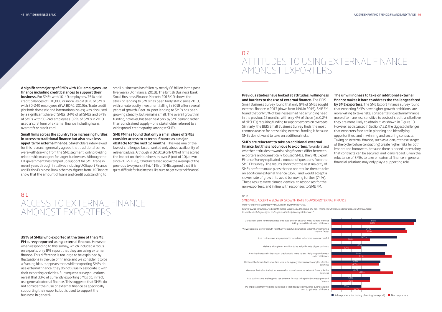A significant majority of SMEs with 10+ employees use finance including credit balances to support their business. For SMEs with 10-49 employees, 75% held credit balances of £10,000 or more, as did 91% of SMEs with 50-249 employees (BVA BDRC, 2019b). Trade credit (for both domestic and international sales) was also used by a significant share of SMEs: 34% of all SMEs and 67% of SMEs with 50-249 employees. 32% of SMEs in 2018 used a 'core' form of external finance including loans, overdraft or credit card.

Small firms across the country face increasing hurdles in access to traditional finance but also have less appetite for external finance. Stakeholders interviewed for this research generally agreed that traditional banks were withdrawing from the SME segment, only providing relationship managers for larger businesses. Although the UK government has ramped up support for SME trade in recent years through initiatives including UK Export Finance and British Business Bank schemes, figures from UK Finance show that the amount of loans and credit outstanding to

small businesses has fallen by nearly £6 billion in the past five years (UK Finance, 2018). The British Business Bank Small Business Finance Markets 2018/19 shows the stock of lending to SMEs has been fairly static since 2013, with private equity investment falling in 2018 after several years of growth. Peer-to-peer lending to SMEs has been growing steadily, but remains small. The overall growth in funding, however, has been held back by SME demand rather than constrained supply – one stakeholder referred to a widespread 'credit apathy' amongst SMEs.

SME FM has found that only a small share of SMEs consider access to external finance as a major obstacle for the next 12 months. This was one of the lowest challenges faced, ranked only above availability of relevant advice. Although in Q2 2019 only 8% of firms scored the impact on their business as over 8 (out of 10), down since 2012 (11%), it had increased above the average of the previous two years (5%). 41% of SMEs agreed that 'it is quite difficult for businesses like ours to get external finance'.

finance, but this is not unique to exporters. To understand whether attitudes towards using finance differ between exporters and domestically focused SMEs, the SME Export Finance Survey replicated a number of questions from the SME FM survey. The results show that the vast majority of SMEs prefer to make plans that do not require them to take on additional external finance (85%) and would accept a slower rate of growth to avoid borrowing further (74%). These results were almost identical to responses for the non-exporters, and in line with responses to SME FM.

39% of SMEs who exported at the time of the SME FM survey reported using external finance. However,

when responding to this survey, which included a focus on exports, only 8% report that they are using external finance. This difference is too large to be explained by fluctuations in the use of finance and we consider it to be a framing bias. It appears that, whilst exporting SMEs do use external finance, they do not usually associate it with their exporting activities. Subsequent survey questions reveal that 33% of currently exporting SMEs do, in fact, use general external finance. This suggests that SMEs do not consider their use of external finance as specifically supporting their exports, but is used to support the business in general.

Source: Vivid Economics SME Export Finance Survey: E12. On a scale of 1 to 5, where 1 is 'Strongly Disagree' and 5 is 'Strongly Agree', *to what extent do you agree or disagree with the following statements?*

# 8.1 ACCESS TO EXTERNAL FINANCE AMONGST EXPORTERS

Previous studies have looked at attitudes, willingness and barriers to the use of external finance. The BEIS Small Business Survey found that only 9% of SMEs sought external finance in 2017 (down from 14% in 2015). SME FM found that only 5% of businesses had had a funding need in the previous 12 months, with only 4% of these (i.e. 0.2% of all SMEs) requiring funding to support expansion overseas. Similarly, the BEIS Small Business Survey finds the most common reason for not seeking external funding is because SMEs do not want to take on additional risks.

### SMEs are reluctant to take on additional external

The unwillingness to take on additional external finance makes it hard to address the challenges faced by SME exporters. The SME Export Finance survey found that exporting SMEs have higher growth ambitions, are more willing to take risks, consider taking external finance more often, are less sensitive to costs of credit, and believe they are more likely to obtain it, as shown in Figure 13. However, as discussed in Section 7.3.2, the biggest challenges that exporters face are in planning and identifying opportunities, and in winning and securing contracts. Taking on external finance, such as a loan, at these stages of the cycle (before contracting) create higher risks for both lenders and borrowers, because there is added uncertainty that contracts can be secured, and loans repaid. Given the reluctance of SMEs to take on external finance in general, financial solutions may only play a supporting role.

# 8.2 ATTITUDES TO USING EXTERNAL FINANCE AMONGST EXPORTERS

#### FIG 13

#### SMES WILL ACCEPT A SLOWER GROWTH RATE TO AVOID EXTERNAL FINANCE

*Note: All exporters Weighted N=800; All non-exporters N = 398.*

- Our current plans for the business are based entirely on what we can afford without taking on additional external finance
- We will accept a slower growth rate than we can fund ourselves rather than borrowing to grow faste
	- As a business we are prepared to take risks to become more successful
	- We have a long term ambition to be a significantly bigger business
- A further increase in the cost of credit would make us less likely to apply for new external finance
- Because the future feels uncertain we are being very cautious with our plans for the business
- We never think about whether we could or should use more external finance in the business
- As a business we are happy to use external finance to help the business grow and develop
- My impression from what I see and hear is that it is quite difficult for businesses like ours to get external finance



 $\blacksquare$  All exporters (including planning to export)  $\blacksquare$  Non exporters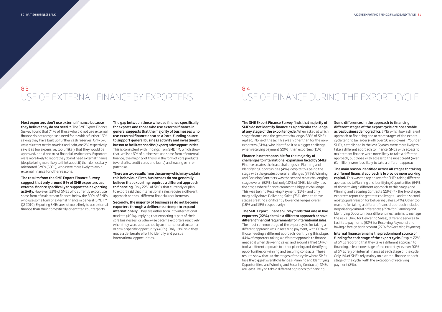Most exporters don't use external finance because they believe they do not need it. The SME Export Finance Survey found that 74% of those who did not use external finance do not recognise a need for it, with a further 16% saying they have built up further cash reserves. Only 6% were reluctant to take on additional debt, and 2% respectively saw it as too expensive, too unlikely that they would be approved, or did not trust financial institutions. Exporters were more likely to report they do not need external finance (despite being more likely to think about it) than domestically orientated SMEs (59%), who were more likely to avoid external finance for other reasons.

The results from the SME Export Finance Survey suggest that only around 8% of SME exporters use external finance specifically to support their exporting activity. However, 33% of SMEs who currently export use some form of mainstream finance, below the 39% of SMEs who use some form of external finance in general (SME FM Q2 2019). Exporting SMEs are not more likely to use external finance than their domestically orientated counterparts.

The gap between those who use finance specifically for exports and those who use external finance in general suggests that the majority of businesses who use external finance do so as a 'core' funding source to support general business activity and investment, but not to facilitate specific (export) sales opportunities. This is consistent with findings from SME FM, which show that, whilst 46% of businesses use some form of external finance, the majority of this is in the form of core products (overdrafts, credit cards and loans) and leasing or hirepurchase.

There are two results from the survey which may explain this behaviour. First, businesses do not generally believe that exporting requires a different approach to financing. Only 22% of SMEs that currently or plan to export said that international sales require a different approach or entail different financial requirements.

Secondly, the majority of businesses do not become exporters through a deliberate attempt to expand internationally. They are either born into international markets (40%), implying that exporting is part of their core businesses, or otherwise became exporters reactively when they were approached by an international customer or saw a specific opportunity (40%). Only 19% said they made a deliberate effort to identify and pursue international opportunities.

The SME Export Finance Survey finds that majority of SMEs do not identify finance as a particular challenge at any stage of the exporter cycle. When asked at which stage finance was the greatest challenge, 68% of SMEs replied, 'None of these'. This was higher than for the nonexporters (61%), who identified it as a bigger challenge when receiving payment (20%) than exporters (11%).

Finance is not responsible for the majority of challenges to international expansion faced by SMEs. Finance creates the least challenges in Planning and Identifying Opportunities (4%), despite this being the stage with the greatest overall challenges (37%). Winning and Securing Contracts was the second most challenging stage overall (32%), but only 10% of SMEs identify it as the stage where finance creates the biggest challenge. This was behind Receiving Payment (11%), and only marginally above Delivering Sales (7%), despite these stages creating significantly lower challenges overall (18% and 13% respectively).

Some differences in the approach to financing different stages of the export cycle are observable across business demographics. SMEs which took a different approach to financing one or more stages of the export cycle tend to be larger (with over 50 employees). Younger SMEs, established in the last 5 years, were more likely to take a different approach to finance. SMEs with access to mainstream finance were more likely to take a different approach, but those with access to the most credit (over £1 million) were less likely to take a different approach.

The SME Export Finance Survey finds that one in five exporters (22%) do take a different approach or have different financial requirements for international sales. The most common stage of the export cycle for taking a different approach was in receiving payment, with 60% of those needing a different approach identifying this stage. 44% of exporters taking a different approach to finance needed it when delivering sales, and around a third (34%) took a different approach to either planning and identifying opportunities or winning and securing contracts. These results show that, at the stages of the cycle where SMEs face the biggest overall challenges (Planning and Identifying Opportunities, and Winning and Securing Contracts), SMEs are least likely to take a different approach to financing. the risks (34% for Delivering Sales), different services to facilitate payments (32% for Receiving Payment) and having a foreign bank account (27% for Receiving Payment). Internal finance remains the predominant source of funding for each stage of the export cycle. Despite 22% of SMEs reporting that they take a different approach to financing at least one stage of the export cycle, over 90% of SMEs rely on internal finance at each stage of the cycle. Only 1% of SMEs rely mainly on external finance at each stage of the cycle, with the exception of receiving payment (2%).

The main reason identified across all stages for taking a different financial approach is to provide more working capital. This was the top answer for SMEs taking different approaches to Planning and Identifying Opportunities (34% of those taking a different approach to this stage) and Winning and Securing Contracts (23%)<sup>10</sup> - the two stages exporters report the greatest challenges – and the second most popular reason for Delivering Sales (24%). Other top reasons for taking a different financial approach included negotiating cultural differences (25% for Planning and Identifying Opportunities), different mechanisms to manage

# 8.3 USE OF EXTERNAL FINANCE BY EXPORTERS

## 8.4 USE OF FINANCE DURING THE EXPORT CYCLE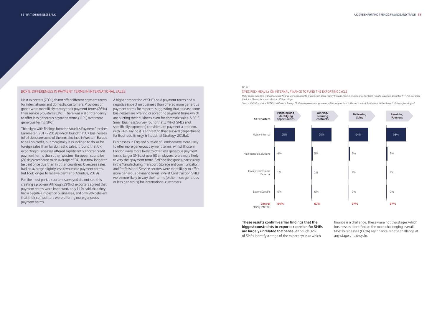Most exporters (78%) do not offer different payment terms for international and domestic customers. Providers of goods were more likely to vary their payment terms (26%) than service providers (13%). There was a slight tendency to offer less generous payment terms (11%) over more generous terms (8%).

This aligns with findings from the Atradius Payment Practices Barometer (2017 - 2019), which found that UK businesses (of all sizes) are some of the most inclined in Western Europe to sell on credit, but marginally less inclined to do so for foreign sales than for domestic sales. It found that UK exporting businesses offered significantly shorter credit payment terms than other Western European countries (20 days compared to an average of 34), but took longer to be paid once due than in other countries. Overseas sales had on average slightly less favourable payment terms, but took longer to receive payment (Atradius, 2019).

For the most part, exporters surveyed did not see this creating a problem. Although 29% of exporters agreed that payment terms were important, only 14% said that they had a negative impact on businesses, and only 9% believed that their competitors were offering more generous payment terms.

A higher proportion of SMEs said payment terms had a negative impact on business than offered more generous payment terms for exports, suggesting that at least some businesses are offering or accepting payment terms which are hurting their business even for domestic sales. A BEIS Small Business Survey found that 27% of SMEs (not specifically exporters) consider late payment a problem, with 24% saying it is a threat to their survival (Department for Business, Energy & Industrial Strategy, 2018a).

Businesses in England outside of London were more likely to offer more generous payment terms, whilst those in London were more likely to offer less generous payment terms. Larger SMEs, of over 50 employees, were more likely to vary their payment terms. SMEs selling goods, particularly in the Manufacturing, Transport, Storage and Communication, and Professional Service sectors were more likely to offer more generous payment terms, whilst Construction SMEs were more likely to vary their terms (either more generous or less generous) for international customers.

> These results confirm earlier findings that the biggest constraints to export expansion for SMEs are largely unrelated to finance. Although 32% of SMEs identify a stage of the export cycle at which

finance is a challenge, these were not the stages which businesses identified as the most challenging overall. Most businesses (68%) say finance is not a challenge at any stage of the cycle.

### BOX 9: DIFFERENCES IN PAYMENT TERMS IN INTERNATIONAL SALES

#### FIG 14

### SMES RELY HEAVILY ON INTERNAL FINANCE TO FUND THE EXPORTING CYCLE *Note: Those exporting without external finance were assumed to finance each stage mainly through internal finance prior to interim results. Exporters Weighted N=~785 per stage*

*(excl. don't know); Non-exporters N~395 per stage.*

*Source: Vivid Economics SME Export Finance Survey: C7. How do you currently/ intend to finance your international / domestic business activities in each of these four stages?* 



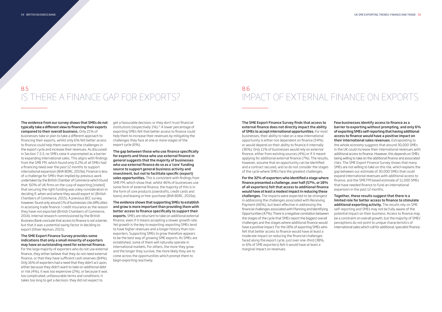The evidence from our survey shows that SMEs do not typically take a different view to financing their exports compared to their overall business. Only 21% of businesses take or plan to take a different approach to financing their exports, whilst only 6% felt better access to finance could help them overcome the challenges in the export cycle and increase their revenues. As discussed in Section 7.3.3, no SMEs raise it unprompted as a barrier to expanding international sales. This aligns with findings from the SME FM, which found only 0.2% of all SMEs had a financing need over the past 12 months to support international expansion (BVA BDRC, 2019a). Finance is less of a challenge for SMEs than implied by previous work undertaken by the British Chamber of Commerce which found that: '60% of UK firms on the cusp of exporting [stated] that securing the right funding was a key consideration in deciding if, when and where they would export to' (British Chambers of Commerce, 2015). A previous BCC survey, however, found only around 1% of businesses cite difficulties in accessing trade finance / credit insurance as the reason they have not exported (British Chambers of Commerce, 2014). Internal research commissioned by the British Business Bank conclude that access to finance is not a barrier, but that it was a potential swing factor in deciding to export (Oliver Wyman, 2015).

#### The SME Export Finance Survey provides some indications that only a small minority of exporters may have an outstanding need for external finance.

For the large majority of exporters who do not use external finance, they either believe that they do not need external finance, or that they have sufficient cash reserves (84%). Only 16% of exporters had a need that they didn't act upon, either because they didn't want to take on additional debt or risk (4%), it was too expensive (2%), or because it was too complicated; unfavourable terms and conditions; it takes too long to get a decision; they did not expect to

get a favourable decision; or they don't trust financial institutions (respectively 1%).<sup>11</sup> A lower percentage of exporting SMEs felt that better access to finance could help them to increase their revenues by mitigating the challenges they face at one or more stages of the export cycle (6%).

The gap between those who use finance specifically for exports and those who use external finance in general suggests that the majority of businesses who use external finance do so as a 'core' funding source to support general business activity and investment, but not to facilitate specific (export) sales opportunities. This is consistent with findings from SME FM, which show that, whilst 46% of businesses use some form of external finance, the majority of this is in the form of core products (overdrafts, credit cards and loans) and leasing or hire-purchase (BVA BDRC, 2019a).

The evidence shows that supporting SMEs to establish and grow is more important than providing them with better access to finance specifically to support their exports. SMEs are reluctant to take on additional external finance, even if it means accepting a slower growth rate. Yet growth is the key to exporting: exporting SMEs tend to have higher revenues and a longer history than nonexporters. Supporting SMEs to grow therefore appears to be the best way of growing SME exports. As SMEs are established, some of them will naturally operate in international markets. For others, the more they grow and the longer they survive, the more likely they are to come across the opportunities which prompt them to begin exporting reactively.

The SME Export Finance Survey finds that access to external finance does not directly impact the ability of SMEs to accept international opportunities. For most businesses, their ability to take on a new international opportunity is either not dependent on finance (54%) or would depend on their ability to finance it internally (36%). Only 11% of businesses would rely on external finance, either from existing sources (4%) or if it meant applying for additional external finance (7%). The results, however, assume that an opportunity can be identified and a contract secured, and so do not consider the stages of the cycle where SMEs face the greatest challenges.

For the 32% of exporters who identified a stage where finance presented a challenge, over half (57%, or 18% of all exporters) felt that access to additional finance would have at least a modest impact in reducing these challenges. The impacts were expected to be strongest in addressing the challenges associated with Receiving Payment (66%), but least effective in addressing the financial challenges associated with Planning and Identifying Opportunities (47%). There is a negative correlation between the stages of the cycle that SMEs report the biggest overall challenges and the stages where additional finance would have a positive impact. For the 18% of exporting SMEs who felt that better access to finance would have at least a moderate impact on reducing the financial challenges faced along the export cycle, just over one-third (38%, or 6% of SME exporters) felt it would have at least a marginal impact on revenues.

Few businesses identify access to finance as a barrier to exporting without prompting, and only 6% of exporting SMEs self-reporting that having additional access to finance would have a positive impact on their international sales revenues. Extrapolating to the whole economy suggests that around 30,000 SMEs in the UK could increase their international revenues with additional access to finance. However, this depends on SMEs being willing to take on the additional finance and associated risks. The SME Export Finance Survey shows that many SMEs are not willing to take on this risk, which explains the gap between our estimate of 30,000 SMEs that could expand international revenues with additional access to finance, and the SME FM based estimate of 11,000 SMEs that have needed finance to fund an international expansion in the past 12 months.

Together, these results suggest that there is a limited role for better access to finance to stimulate additional exporting activity. The results rely on SME self-reporting and SMEs may not be fully aware of the potential impact on their business. Access to finance may be a constraint on overall growth, but the majority of SMEs' perceptions do not point to unique characteristics of international sales which call for additional, specialist finance.

# 8.5 IS THERE A FINANCE GAP FOR EXPORTS?

# 8.6 IMPACT OF EXTERNAL FINANCE ON EXPORTS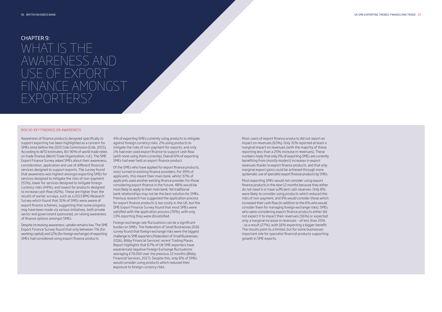Awareness of finance products designed specifically to support exporting has been highlighted as a concern for SMEs since before the 2015 Cole Commission (Cole, 2015). According to WTO estimates, 80-90% of world trade relies on trade finance (World Trade Organization, n.d.). The SME Export Finance Survey asked SMEs about their awareness, consideration, application and use of different financial services designed to support exports. The survey found that awareness was highest amongst exporting SMEs for services designed to mitigate the risks of non-payment (51%), lower for services designed to mitigate foreign currency risks (44%), and lowest for products designed to increase cash flow (42%). These are higher than the results of earlier surveys, such as a 2013 BMG Research Survey which found that 31% of SMEs were aware of export finance schemes, suggesting that some progress may have been made via various initiatives, both private sector and government sponsored, on raising awareness of finance options amongst SMEs.

Despite increasing awareness, uptake remains low. The SME Export Finance Survey found that only between 7% (for working capital) and 12% (for foreign exchange) of exporting SMEs had considered using export finance products.

4% of exporting SMEs currently using products to mitigate against foreign currency risks, 2% using products to mitigate the risks of non-payment for exports, and only 1% had ever used export finance to support cash flow (with none using them currently). Overall 6% of exporting SMEs had ever held an export finance product.

Of the SMEs who have applied for export finance products, most turned to existing finance providers. For 39% of applicants, this meant their main bank, whilst 37% of applicants used another existing finance provider. For those considering export finance in the future, 48% would be most likely to apply to their main bank. Yet traditional bank relationships may not be the best solution for SMEs. Previous research has suggested the application process for export finance products is too costly in the UK, but the SME Export Finance Survey found that most SMEs were satisfied with the application process (70%), with only 13% reporting they were dissatisfied.

Foreign exchange rate fluctuations can be a significant burden on SMEs. The Federation of Small Businesses 2016 survey found that foreign exchange risks were the biggest challenge to SME exporters (Federation of Small Businesses, 2016). Bibby Financial Services' recent Trading Places Report highlights that 67% of UK SME exporters have experienced negative Foreign Exchange fluctuations averaging £70,000 over the previous 12 months (Bibby Financial Services, 2017). Despite this, only 6% of SMEs would consider using products which reduced their exposure to foreign currency risks.

#### BOX 10: KEY FINDINGS ON AWARENESS

# CHAPTER 9: WHAT IS THE AWARENESS AND USE OF EXPORT FINANCE AMONGST EXPORTERS?

Most users of export finance products did not report an impact on revenues (63%). Only 31% reported at least a marginal impact on revenues (with the majority of these reporting less than a 25% increase in revenues). These numbers imply that only 2% of exporting SMEs are currently benefiting from (mostly modest) increases in export revenues thanks to export finance products, and that only marginal export gains could be achieved through more systematic use of specialist export finance products by SMEs.

Most exporting SMEs would not consider using export finance products in the next 12 months because they either do not need it or have sufficient cash reserves. Only 8% were likely to consider using products which reduced the risks of non-payment, and 9% would consider those which increased their cash flow (in addition to the 6% who would consider them for managing foreign exchange risks). SMEs who were considering export finance products either did not expect it to impact their revenues (56%) or expected only a marginal increase in revenues – of less than 25% - as a result (27%), with 16% expecting a bigger benefit. The results point to a limited, but for some businesses important role for specialist financial products supporting growth in SME exports.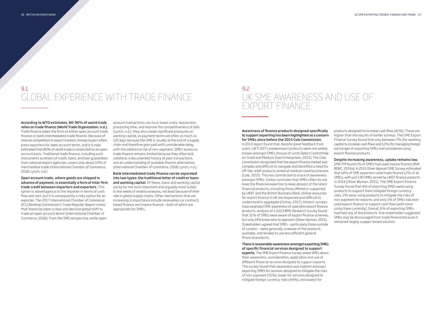According to WTO estimates, 80-90% of world trade relies on trade finance (World Trade Organization, n.d.). Trade finance takes the form of either open account trade finance or bank intermediated trade finance. Because of intense competition in export markets, foreign buyers often press exporters for open account terms, and it is now estimated that 80% of world trade is conducted on an open account basis. Traditional trade finance, including such instruments as letters of credit, loans, and loan guarantees from national export agencies, covers only about 10% of merchandise trade (International Chamber of Commerce, 2018; Lynch, n.d.)

Open account trade, where goods are shipped in advance of payment, is essentially a form of inter-firm trade credit between importers and exporters. This option is advantageous to the importer in terms of cash flow and cost, but it is consequently a risky option for an exporter. The 2017 International Chamber of Commerce (ICC) Banking Commission's Trade Register Report states that 'there has been a clear and decisive global shift to trade on open account terms' (International Chamber of Commerce, 2018). From the SME perspective, while open

account transactions can incur lower costs, require less processing time, and improve the competitiveness of bids (Lynch, n.d.), they also create significant pressures on working capital, as payment terms are often as much as 120 days because the SME is usually at the end of a supply chain and therefore gets paid with considerable delay, with the additional risk of non-payment. SMEs' access to trade finance remains limited because they often lack collateral, a documented history of past transactions, and an understanding of available finance alternatives (International Chamber of Commerce, 2018; Lynch, n.d.).

> exports. The SME Export Finance Survey asked SMEs about their awareness, consideration, application and use of different financial services designed to support exports. The survey found that awareness was highest amongst exporting SMEs for services designed to mitigate the risks of non-payment (51%), lower for services designed to mitigate foreign currency risks (44%), and lowest for

Bank intermediated trade finance can be separated into two types: the traditional letter of credit or loans and working capital. Of these, loans and working capital are by far the most important and arguably most suited to the needs of small businesses, not least because of their role in global supply chains. Other mechanisms that are increasing in importance include receivables (or contract) based finance and invoice finance – both of which are appropriate for SMEs.

#### Awareness of finance products designed specifically to support exporting has been highlighted as a concern for SMEs since before the 2015 Cole Commission.

A 2013 report found that, despite great feedback from users, UKTI (DIT's predecessor) products were not widely known amongst SMEs (House of Lords Select Committtee on Small and Medium Sized Enterprises, 2013). The Cole Commission recognised that the export finance market was complex and difficult to navigate and identified a need for off-the-shelf products aimed at medium sized businesses (Cole, 2015). This has contributed to a lack of awareness amongst SMEs. Civitas concludes that SMEs often do not have the financial expertise to keep abreast of the latest financial products, including those offered or supported by UKEF and the British Business Bank. Online resources for export finance in UK are dispersed and difficult to understand in aggregate (Civitas, 2017). Historic surveys have assessed SME awareness of specialist export finance products: analysis of a 2013 BMG Research Survey found that 31% of SMEs were aware of export finance schemes, but only 14% knew who to approach (Oliver Wyman, 2015). Stakeholders agreed that SMEs – particularly those outside of London – were generally unaware of the products available, and tended to use less efficient general financial products.

#### There is reasonable awareness amongst exporting SMEs of specific financial services designed to support

products designed to increase cash flow (42%). These are higher than the results of earlier surveys. The SME Export Finance Survey found that only between 7% (for working capital to increase cash flow) and 12% (for managing foreign exchange) of exporting SMEs had considered using export finance products.

Despite increasing awareness, uptake remains low. SME FM found 1% of SMEs had used invoice finance (BVA BDRC, 2019a). A 2015 Oliver Wyman SME Survey estimated that 14% of SME exporters used trade finance (2% of all SMEs), with just 130 SMEs served by UKEF finance products in 2014 (Oliver Wyman, 2015). The SME Export Finance Survey found that 4% of exporting SMEs were using products to support them mitigate foreign currency risks, 2% were using products to mitigate the risks of non-payment for exports, and only 1% of SMEs had ever used export finance to support cash flow (with none using them currently). Overall, 6% of exporting SMEs had held any of the products. One stakeholder suggested SMEs may be discouraged from trade finance because it remained largely a paper-based solution.

# 9.1 GLOBAL EXPERIENCE WITH TRADE FINANCE

## 9.2 UK SME AWARENESS AND USE OF EXPORT FINANCE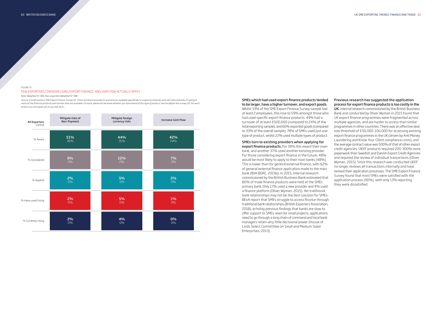SMEs which had used export finance products tended to be larger, have a higher turnover, and export goods. Whilst 33% of the SME Export Finance Survey sample had at least 2 employees, this rose to 59% amongst those who had used specific export finance products. 49% had a turnover of at least £500,000 (compared to 24% of the total exporting sample), and 60% exported goods (compared to 33% of the overall sample). 78% of SMEs used just one type of product, whilst 22% used multiple types of product.

### SMEs turn to existing providers when applying for

export finance products. For 39% this meant their main bank, and another 37% used another existing provider. For those considering export finance in the future, 48% would be most likely to apply to their main banks (48%). This is lower than for general external finance, with 62% of general external finance application made to the main bank (BVA BDRC, 2019a). In 2015, internal research commissioned by the British Business Bank estimated that 80% of trade finance products were held at the SMEs primary bank. Only 17% used a new provider and 4% used a finance platform (Oliver Wyman, 2015). Yet traditional bank relationships may not be the best solution for SMEs: BExA report that SMEs struggle to access finance through traditional bank relationships (British Exporters Association, 2018), echoing previous findings that banks are slow to offer support to SMEs: even for small projects, applications need to go through a long chain of command and local bank managers retain very little decisional power (House of Lords Select Committtee on Small and Medium Sized Enterprises, 2013).

Previous research has suggested the application process for export finance products is too costly in the UK. Internal research commissioned by the British Business Bank and conducted by Oliver Wyman in 2015 found that UK export finance programmes were fragmented across multiple agencies, and are harder to access than similar programmes in other countries. There was an effective deal size threshold of £50,000-100,000 for accessing existing export finance programmes in the UK (driven by Anti Money Laundering and Know Your Client compliance costs), and the average contract value was 500% of that of other export credit agencies. UKEF products required 200-300% more paperwork than Swedish and Danish Export Credit Agencies and required the review of individual transactions (Oliver Wyman, 2015). Since this research was conducted UKEF no longer reviews all transactions internally and have revised their application processes. The SME Export Finance Survey found that most SMEs were satisfied with the application process (90%), with only 13% reporting they were dissatisfied.

FIGURE 15

#### FEW EXPORTERS CONSIDER USING EXPORT FINANCE, AND VERY FEW ACTUALLY APPLY

*Note: Weighted N=306; Non-exporters Weighted N=398*

*Source: Vivid Economics SME Export Finance Survey: D1. There are financial products and services available specifically to support businesses who sell internationally. I'm going to*  read out the financial products and services that are available. For each, please let me know whether you have heard of this type of product/ service before this survey. D2. For each *product you are aware of can you tell me if....* 

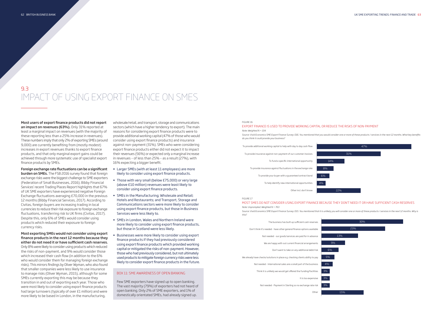Most users of export finance products did not report an impact on revenues (63%). Only 31% reported at least a marginal impact on revenues (with the majority of these reporting less than a 25% increase in revenues). These numbers imply that only 2% of exporting SMEs (around 9,000) are currently benefiting from (mostly modest) increases in export revenues thanks to export finance products, and that only marginal export gains could be achieved through more systematic use of specialist export finance products by SMEs.

Foreign exchange rate fluctuations can be a significant **burden on SMEs.** The FSB 2016 survey found that foreign exchange risks were the biggest challenge to SME exporters (Federation of Small Businesses, 2016). Bibby Financial Services' recent Trading Places Report highlights that 67% of UK SME exporters have experienced negative Foreign Exchange fluctuations averaging £70,000 in the previous 12 months (Bibby Financial Services, 2017). According to Civitas, foreign buyers are increasing trading in local currencies to reduce their risk exposure to foreign exchange fluctuations, transferring risk to UK firms (Civitas, 2017). Despite this, only 6% of SMEs would consider using products which reduced their exposure to foreign currency risks.

Most exporting SMEs would not consider using export finance products in the next 12 months because they either do not need it or have sufficient cash reserves. Only 8% were likely to consider using products which reduced the risks of non-payment, and 9% would consider those which increased their cash flow (in addition to the 6% who would consider them for managing foreign exchange risks). This mirrors findings by Oliver Wyman, who also found that smaller companies were less likely to use insurance to manage risks (Oliver Wyman, 2015), although for some SMEs currently exporting this may be because they transition in and out of exporting each year. Those who were most likely to consider using export finance products had large turnovers (typically of over £1 million) and were more likely to be based in London, in the manufacturing,

wholesale/retail, and transport, storage and communications sectors (which have a higher tendency to export). The main reasons for considering export finance products were to provide additional working capital (47% of those who would consider using export finance products) and insurance against non-payment (31%). SMEs who were considering export finance products either did not expect it to impact their revenues (56%) or expected only a marginal increase in revenues – of less than 25% – as a result (27%), with 16% expecting a bigger benefit.

- Larger SMEs (with at least 11 employees) are more likely to consider using export finance products.
- Those with very small (below £75,000) or very large (above £10 million) revenues were least likely to consider using export finance products.
- SMEs in the Manufacturing; Wholesale and Retail; Hotels and Restaurants; and Transport, Storage and Communications sectors were more likely to consider using export finance products, but those in Business Services were less likely to.
- SMEs in London, Wales and Northern Ireland were more likely to consider using export finance products, but those in Scotland were less likely.
- Businesses were more likely to consider using export finance products if they had previously considered using export finance products which provided working capital or mitigated the risks of non-payment. However, those who had previously considered, but not ultimately used products to mitigate foreign currency risks were less likely to consider export finance products in the future.

# 9.3 IMPACT OF USING EXPORT FINANCE ON SMES

Few SME exporters have signed up to open banking. The vast majority (79%) of exporters had not heard of open banking. Only 2% of SME exporters, and 1% of domestically orientated SMEs, had already signed up.

#### BOX 11: SME AWARENESS OF OPEN BANKING

#### FIGURE 16

#### EXPORT FINANCE IS USED TO PROVIDE WORKING CAPITAL OR REDUCE THE RISKS OF NON-PAYMENT *Note: Weighted N = 104*

*Source: Vivid Economics SME Export Finance Survey: D16. You mentioned that you would consider one or more of these products / services in the next 12 months. What key benefits do you think it could provide your business?*

To provide additional working capital to help with day to day cash flow

To provide insurance against non-payment of our customer invoices

To fund a specific international opportunity

To provide insurance against fluctuations in the exchange rate

To provide your buyer with a guarantee/contract bond

To help identify new international opportunities

Other incl. don't know



#### FIGURE 17

#### MOST SMES DO NOT CONSIDER USING EXPORT FINANCE BECAUSE THEY DON'T NEED IT OR HAVE SUFFICIENT CASH RESERVES *Note: Unprompted. Weighted N = 763*

*Source: Vivid Economics SME Export Finance Survey: D15. You mentioned that it is unlikely you will consider one or more of these products / services in the next 12 months. Why is this?*

The business has built up sufficient cash reserves Don't think it's needed - have other general finance options available Not needed - our goods/services are paid for in advance We are happy with out current financial arrangements Don't want to take on any additional debt/risk We already have checks/solutions in place e.g. checking clients ability to pay Not needed - International sales are a small part of the business Think it is unlikely we would get offered the funding/facilities It is too expensive 6% 5% 4% 3% 3%

Not needed - Payment in Sterling so no exchange rate risk

Other



3%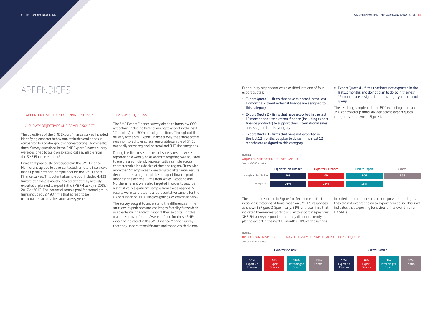# APPENDICES

#### 1.1 APPENDIX 1. SME EXPORT FINANCE SURVEY

#### 1.1.1 SURVEY OBJECTIVES AND SAMPLE SOURCE

The objectives of the SME Export Finance survey included identifying exporter behaviour, attitudes and needs in comparison to a control group of non-exporting (UK domestic) firms. Survey questions in the SME Export Finance survey were designed to build on existing data available from the SME Finance Monitor.1

Firms that previously participated in the SME Finance Monitor and agreed to be re-contacted for future interviews made up the potential sample pool for the SME Export Finance survey. This potential sample pool included 4,439 firms that have previously indicated that they actively exported or planned to export in the SME FM survey in 2018, 2017 or 2016. The potential sample pool for control group firms included 12,493 firms that agreed to be re-contacted across the same survey years.

#### 1.1.2 SAMPLE QUOTAS

The SME Export Finance survey aimed to interview 800 exporters (including firms planning to export in the next 12 months) and 300 control group firms. Throughout the delivery of the SME Export Finance survey, the sample profile was monitored to ensure a reasonable sample of SMEs nationally across regional, sectoral and SME size categories.

During the field research period, survey results were reported on a weekly basis and firm targeting was adjusted to ensure a sufficiently representative sample across characteristics include size of firm and region. Firms with more than 50 employees were targeted after initial results demonstrated a higher uptake of export finance products amongst these firms. Firms from Wales, Scotland and Northern Ireland were also targeted in order to provide a statistically significant sample from these regions. All results were calibrated to a representative sample for the UK population of SMEs using weightings, as described below.

The survey sought to understand the differences in the attitudes, experiences and challenges faced by firms which used external finance to support their exports. For this reason, separate 'quotas' were defined for those SMEs who had indicated in the SME Finance Monitor survey that they used external finance and those which did not.

Each survey respondent was classified into one of four export quotas:

- Export Quota 1 firms that have exported in the last 12 months without external finance are assigned to this category
- Export Quota 2 firms that have exported in the last 12 months and use external finance (including export finance products) to support their international sales are assigned to this category
- Export Quota 3 firms that have not exported in the last 12 months but plan to do so in the next 12 months are assigned to this category

The quotas presented in Figure 1 reflect some shifts from initial classifications of firms based on SME FM responses, as shown in Figure 2. Specifically, 21% of those firms that indicated they were exporting or plan to export in a previous SME FM survey responded that they did not currently or plan to export in the next 12 months. 18% of those firms

• Export Quota 4 – firms that have not exported in the last 12 months and do not plan to do so in the next 12 months are assigned to this category, the control group

The resulting sample included 800 exporting firms and 398 control group firms, divided across export quota categories as shown in Figure 1.

#### FIGURE 1

#### ADJUSTED SME EXPORT SURVEY SAMPLE

*Source: Vivid Economics*

#### FIGURE 2

BREAKDOWN BY SME EXPORT FINANCE SURVEY SUBSAMPLE ACROSS EXPORT QUOTAS *Source: Vivid Economics*

|                        | <b>Exporters, No Finance</b> | <b>Exporters, Finar</b> |  |
|------------------------|------------------------------|-------------------------|--|
| Unweighted Sample Size | 595                          | 99                      |  |
| % Exporters            | 74%                          | 12%                     |  |







included in the control sample pool previous stating that they did not export or plan to export now do so. This shift indicates that exporting behaviour shifts over time for UK SMEs.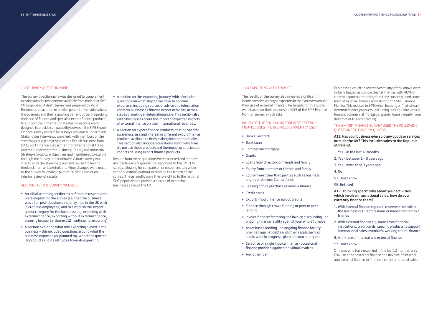- A section on the 'exporting journey' which included questions on what steps firms take to become exporters, including sources of advice and information and how businesses finance export activities across stages of making an international sale. This section also asked businesses about the impact or expected impacts of external finance on their international revenues.
- A section on export finance products, testing specific awareness, use and interest in different export finance products available to firms making international sales. This section also included questions about why firms did not use these products and the impact or anticipated impacts of using export finance products.

Results from these questions were collected and reported alongside each respondent's responses to the SME FM survey, allowing for comparison of responses to a wider set of questions without extending the length of the survey. These results were then weighted to the national SME population to provide a picture of exporting businesses across the UK.

### 1.1.3 SURVEY QUESTIONNAIRE

#### WHICH OF THE FOLLOWING FORMS OF EXTERNAL FINANCE DOES THE BUSINESS CURRENTLY USE?

The survey questionnaire was designed to complement existing data for respondents available from their prior SME FM responses. A draft survey was prepared by Vivid Economics, structured to provide general information about the business and their exporting behaviour, before probing their use of finance and specialist export finance products to support their international sales. Questions were designed to provide comparability between the SME Export Finance survey and similar surveys previously undertaken. Stakeholder interviews were held with members of the steering group (comprising of the British Business Bank, UK Export Finance, Department for International Trade and the Department for Business, Energy and Industrial Strategy) to capture objectives and hypotheses to explore through the survey questionnaire. A draft survey was shared with the steering group and revised following feedback from all stakeholders. Minor changes were made to the survey following a pilot of 30 SMEs and at an interim review of results.

### SECTIONS OF THE SURVEY INCLUDED:

- An initial screening section to confirm that respondents were eligible for the survey (i.e. that the business was a for-profit business majority held in the UK with 250 or less employees) and to establish the 'export quota' category for the business (e.g. exporting with external finance, exporting without external finance, planning to export in the next 12 months or not exporting)
- A section exploring what role exporting played in the business – this included questions around what the business exported (or planned to), where it exported its products and its attitudes towards exporting

#### 1.1.4 EXPORTING WITH FINANCE

The results of the survey also revealed significant inconsistencies amongst exporters in their answers around their use of external finance. The targets for this quota were based on their response to Q15 of the SME Finance Monitor survey, which asks:

- Bank Overdraft
- Bank Loan
- Commercial mortgage
- Grants
- Loans from directors or friends and family
- Equity from directors or friends and family
- Equity from other third parties such as business angels or Venture Capital funds
- Leasing or hire purchase or vehicle finance
- Credit cards
- Export/import finance eg doc credits
- Finance through crowd funding or peer to peer lending
- Invoice finance; factoring and invoice discounting an ongoing finance facility against your whole turnover
- Asset based lending an ongoing finance facility provided against debts and other assets such as stock, work in progress, plant and machinery etc
- Selective or single invoice finance occasional finance provided against individual invoices
- Any other loan

Businesses which answered yes to any of the above were initially tagged as using external finance, with 46% of current exporters reporting that they currently used some form of external finance according to the SME Finance Monitor. This reduces to 34% when focusing on 'mainstream' external finance products (excluding leasing / hire vehicle finance, commercial mortgage, grants, loans / equity from directors or friends / family).

### THE EXPORT FINANCE SURVEY USED THE FOLLOWING QUESTIONS TO CONFIRM QUOTAS:

#### A11: Has your business ever sold any goods or services outside the UK? This includes sales to the Republic of Ireland.

- 1. Yes in the last 12 months
- 2. Yes between 1 3 years ago
- 3. Yes more than 3 years ago
- 4. No
- 97. Don't know
- 98. Refused

#### A12: Thinking specifically about your activities, which involve international sales, how do you currently finance them?

- 1. With internal finance e.g. cash reserves from within the business or Directors loans or loans from family / friends
- 2. With external finance e.g. loans from financial institutions, credit cards, specific products to support international sales, overdraft, working capital finance
- 3. A mixture of internal and external finance

#### 97. Don't know

Of those who have exported in the last 12 months, only 8% use either external finance or a mixture of internal and external finance to finance their international sales.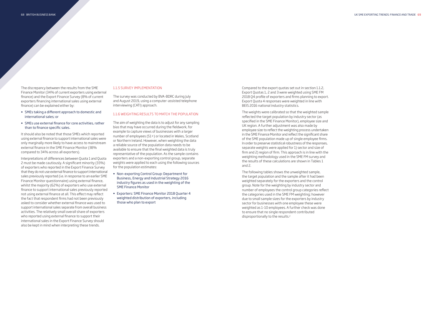Compared to the export quotas set out in section 1.1.2, Export Quotas 1, 2 and 3 were weighted using SME FM 2018 Q4 profile of exporters and firms planning to export. Export Quota 4 responses were weighted in line with BEIS 2016 national industry statistics.

The following tables shows the unweighted sample, the target population and the sample after it had been weighted separately for the exporters and the control group. Note for the weighting by industry sector and number of employees the control group categories reflect the categories used in the SME FM weighting; however due to small sample sizes for the exporters by industry sector for businesses with one employee these were weighted as 1-10 employees. A further check was done to ensure that no single respondent contributed disproportionally to the results.<sup>2</sup>

The weights were calibrated so that the weighted sample reflected the target population by industry sector (as specified in the SME Finance Monitor), employee size and UK region. A further adjustment was also made by employee size to reflect the weighting process undertaken in the SME Finance Monitor and reflect the significant share of the SME population made up of single employee firms. In order to preserve statistical robustness of the responses, separate weights were applied for 1) sector and size of firm and 2) region of firm. This approach is in line with the weighting methodology used in the SME FM survey and the results of these calculations are shown in Tables 1 and 2.

#### 1.1.5 SURVEY IMPLEMENTATION

The survey was conducted by BVA-BDRC during July and August 2019, using a computer-assisted telephone interviewing (CATI) approach.

### 1.1.6 WEIGHTING RESULTS TO MATCH THE POPULATION

The aim of weighting the data is to adjust for any sampling bias that may have occurred during the fieldwork, for example to capture views of businesses with a larger number of employees (51+) or located in Wales, Scotland or Northern Ireland. However, when weighting the data a reliable source of the population data needs to be available to ensure that the final weighted data is truly representative of the population. As the sample contains exporters and a non-exporting control group, separate weights were applied to each using the following sources for the population estimates:

- Non-exporting Control Group: Department for Business, Energy and Industrial Strategy 2016 industry figures as used in the weighting of the SME Finance Monitor
- Exporters: SME Finance Monitor 2018 Quarter 4 weighted distribution of exporters, including those who plan to export

The discrepancy between the results from the SME Finance Monitor (34% of current exporters using external finance) and the Export Finance Survey (8% of current exporters financing international sales using external finance) can be explained either by:

- SMEs taking a different approach to domestic and international sales; or
- SMEs use external finance for core activities, rather than to finance specific sales.

It should also be noted that those SMEs which reported using external finance to support international sales were only marginally more likely to have access to mainstream external finance in the SME Finance Monitor (38% compared to 34% across all exporters).

Interpretations of differences between Quota 1 and Quota 2 must be made cautiously. A significant minority (33%) of exporters who reported in the Export Finance Survey that they do not use external finance to support international sales previously reported (i.e. in response to an earlier SME Finance Monitor questionnaire) using external finance, whilst the majority (62%) of exporters who use external finance to support international sales previously reported not using external finance at all. This effect may reflect the fact that respondent firms had not been previously asked to consider whether external finance was used to support international sales separate from overall business activities. The relatively small overall share of exporters who reported using external finance to support their international sales in the Export Finance Survey should also be kept in mind when interpreting these trends.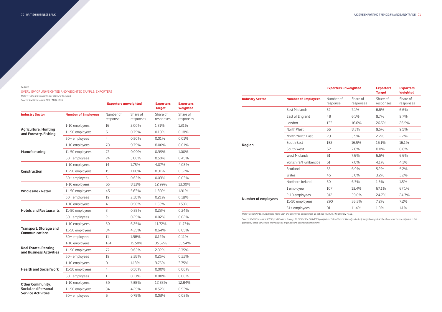Source: Vivid Economics SME Export Finance Survey: B2 B7. For the SERVICES you (intend to) sell internationally, which of the following describes how your business (intends to) *provide(s) these services to individuals or organisations based outside the UK?* 

|                            |                            | <b>Exporters unweighted</b> |                       | <b>Exporters</b><br><b>Target</b> | <b>Exporters</b><br><b>Weighted</b> |
|----------------------------|----------------------------|-----------------------------|-----------------------|-----------------------------------|-------------------------------------|
| <b>Industry Sector</b>     | <b>Number of Employees</b> | Number of<br>response       | Share of<br>responses | Share of<br>responses             | Share of<br>responses               |
|                            | East Midlands              | 57                          | 7.1%                  | 6.6%                              | 6.6%                                |
|                            | East of England            | 49                          | 6.1%                  | 9.7%                              | 9.7%                                |
|                            | London                     | 133                         | 16.6%                 | 26.5%                             | 26.5%                               |
|                            | North West                 | 66                          | 8.3%                  | 9.5%                              | 9.5%                                |
|                            | North/North East           | 28                          | 3.5%                  | 2.2%                              | 2.2%                                |
| Region                     | South East                 | 132                         | 16.5%                 | 16.1%                             | 16.1%                               |
|                            | South West                 | 62                          | 7.8%                  | 8.8%                              | 8.8%                                |
|                            | West Midlands              | 61                          | 7.6%                  | 6.6%                              | 6.6%                                |
|                            | Yorkshire/Humberside       | 61                          | 7.6%                  | 4.1%                              | 4.1%                                |
|                            | Scotland                   | 55                          | 6.9%                  | 5.2%                              | 5.2%                                |
|                            | Wales                      | 45                          | 5.6%                  | 3.2%                              | 3.2%                                |
|                            | Northern Ireland           | 50                          | 6.3%                  | 1.5%                              | 1.5%                                |
|                            | 1 employee                 | 107                         | 13.4%                 | 67.1%                             | 67.1%                               |
|                            | 2-10 employees             | 312                         | 39.0%                 | 24.7%                             | 24.7%                               |
| <b>Number of employees</b> | 11-50 employees            | 290                         | 36.3%                 | 7.2%                              | 7.2%                                |
|                            | 51+ employees              | 91                          | 11.4%                 | 1.0%                              | 1.1%                                |

*Note: Respondents could choose more than one answer so percentages do not add to 100%. Weighted N = 531.*

#### TABLE 1

#### OVERVIEW OF UNWEIGHTED AND WEIGHTED SAMPLE: EXPORTERS

*Note: n=800 firms exporting or planning to export*

| Source: Vivid Economics; SME FM Q4 2018                |                            | <b>Exporters unweighted</b> |                       | <b>Exporters</b><br><b>Target</b> | <b>Exporters</b><br><b>Weighted</b> |
|--------------------------------------------------------|----------------------------|-----------------------------|-----------------------|-----------------------------------|-------------------------------------|
| <b>Industry Sector</b>                                 | <b>Number of Employees</b> | Number of<br>response       | Share of<br>responses | Share of<br>responses             | Share of<br>responses               |
|                                                        | 1-10 employees             | 16                          | 2.00%                 | 1.31%                             | 1.31%                               |
| <b>Agriculture, Hunting</b><br>and Forestry, Fishing   | 11-50 employees            | 6                           | 0.75%                 | 0.18%                             | 0.18%                               |
|                                                        | 50+ employees              | $\overline{4}$              | 0.50%                 | 0.01%                             | 0.01%                               |
|                                                        | 1-10 employees             | 78                          | 9.75%                 | 8.00%                             | 8.01%                               |
| Manufacturing                                          | 11-50 employees            | 72                          | 9.00%                 | 0.99%                             | 1.00%                               |
|                                                        | 50+ employees              | 24                          | 3.00%                 | 0.50%                             | 0.45%                               |
|                                                        | 1-10 employees             | 14                          | 1.75%                 | 4.07%                             | 4.08%                               |
| Construction                                           | 11-50 employees            | 15                          | 1.88%                 | 0.31%                             | 0.32%                               |
|                                                        | 50+ employees              | 5                           | 0.63%                 | 0.03%                             | 0.03%                               |
|                                                        | 1-10 employees             | 65                          | 8.13%                 | 12.99%                            | 13.00%                              |
| <b>Wholesale / Retail</b>                              | 11-50 employees            | 45                          | 5.63%                 | 1.89%                             | 1.91%                               |
|                                                        | 50+ employees              | 19                          | 2.38%                 | 0.21%                             | 0.18%                               |
|                                                        | 1-10 employees             | 4                           | 0.50%                 | 1.53%                             | 1.53%                               |
| <b>Hotels and Restaurants</b>                          | 11-50 employees            | З                           | 0.38%                 | 0.23%                             | 0.24%                               |
|                                                        | 50+ employees              | $\overline{c}$              | 0.25%                 | 0.02%                             | 0.02%                               |
|                                                        | 1-10 employees             | 50                          | 6.25%                 | 11.72%                            | 11.73%                              |
| Transport, Storage and<br><b>Communications</b>        | 11-50 employees            | 34                          | 4.25%                 | 0.64%                             | 0.65%                               |
|                                                        | 50+ employees              | 11                          | 1.38%                 | 0.12%                             | 0.11%                               |
|                                                        | 1-10 employees             | 124                         | 15.50%                | 35.52%                            | 35.54%                              |
| <b>Real Estate, Renting</b><br>and Business Activities | 11-50 employees            | 77                          | 9.63%                 | 2.32%                             | 2.35%                               |
|                                                        | 50+ employees              | 19                          | 2.38%                 | 0.25%                             | 0.22%                               |
|                                                        | 1-10 employees             | $\mathsf{G}$                | 1.13%                 | 3.75%                             | 3.75%                               |
| <b>Health and Social Work</b>                          | 11-50 employees            | $\overline{4}$              | 0.50%                 | $0.00\%$                          | 0.00%                               |
|                                                        | 50+ employees              | 1                           | 0.13%                 | 0.00%                             | 0.00%                               |
| Other Community,                                       | 1-10 employees             | 59                          | 7.38%                 | 12.83%                            | 12.84%                              |
| <b>Social and Personal</b>                             | 11-50 employees            | 34                          | 4.25%                 | 0.52%                             | 0.53%                               |
| <b>Service Activities</b>                              | 50+ employees              | 6                           | 0.75%                 | 0.03%                             | 0.03%                               |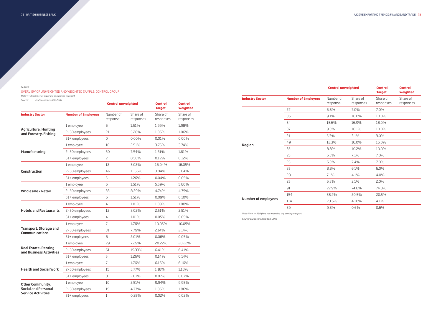|                            |                            | <b>Control unweighted</b> |                       | <b>Control</b><br><b>Target</b> | <b>Control</b><br><b>Weighted</b> |
|----------------------------|----------------------------|---------------------------|-----------------------|---------------------------------|-----------------------------------|
| <b>Industry Sector</b>     | <b>Number of Employees</b> | Number of<br>response     | Share of<br>responses | Share of<br>responses           | Share of<br>responses             |
|                            | 27                         | 6.8%                      | 7.0%                  | 7.0%                            |                                   |
|                            | 36                         | 9.1%                      | 10.0%                 | 10.0%                           |                                   |
|                            | 54                         | 13.6%                     | 16.9%                 | 18.0%                           |                                   |
|                            | 37                         | 9.3%                      | 10.1%                 | 10.0%                           |                                   |
|                            | 21                         | 5.3%                      | 3.1%                  | 3.0%                            |                                   |
| Region                     | 49                         | 12.3%                     | 16.0%                 | 16.0%                           |                                   |
|                            | 35                         | 8.8%                      | 10.2%                 | 10.0%                           |                                   |
|                            | 25                         | 6.3%                      | 7.1%                  | 7.0%                            |                                   |
|                            | 25                         | 6.3%                      | 7.4%                  | 7.0%                            |                                   |
|                            | 35                         | 8.8%                      | 6.1%                  | 6.0%                            |                                   |
|                            | 28                         | 7.1%                      | 4.1%                  | 4.0%                            |                                   |
|                            | 25                         | 6.3%                      | 2.1%                  | 2.0%                            |                                   |
|                            | 91                         | 22.9%                     | 74.8%                 | 74.8%                           |                                   |
|                            | 154                        | 38.7%                     | 20.5%                 | 20.5%                           |                                   |
| <b>Number of employees</b> | 114                        | 28.6%                     | 4.10%                 | 4.1%                            |                                   |
|                            | 39                         | 9.8%                      | 0.6%                  | 0.6%                            |                                   |

*Note: Note: n=398 firms not exporting or planning to export*

*Source: Vivid Economics; BEIS 2016*

#### TABLE 2

## OVERVIEW OF UNWEIGHTED AND WEIGHTED SAMPLE: CONTROL GROUP

*Note: n=398 firms not exporting or planning to export*

| Vivid Economics; BEIS 2016<br>Source:                  |                            | <b>Control unweighted</b> |                       | <b>Control</b><br><b>Target</b> | <b>Control</b><br><b>Weighted</b> |
|--------------------------------------------------------|----------------------------|---------------------------|-----------------------|---------------------------------|-----------------------------------|
| <b>Industry Sector</b>                                 | <b>Number of Employees</b> | Number of<br>response     | Share of<br>responses | Share of<br>responses           | Share of<br>responses             |
|                                                        | 1 employee                 | 6                         | 1.51%                 | 1.99%                           | 1.98%                             |
| <b>Agriculture, Hunting</b><br>and Forestry, Fishing   | 2-50 employees             | 21                        | 5.28%                 | 1.06%                           | 1.06%                             |
|                                                        | 51+ employees              | $\overline{O}$            | 0.00%                 | 0.01%                           | 0.00%                             |
|                                                        | 1 employee                 | 10                        | 2.51%                 | 3.75%                           | 3.74%                             |
| Manufacturing                                          | 2-50 employees             | 30                        | 7.54%                 | 1.61%                           | 1.61%                             |
|                                                        | 51+ employees              | $\overline{c}$            | 0.50%                 | 0.12%                           | 0.12%                             |
|                                                        | 1 employee                 | 12                        | 3.02%                 | 16.04%                          | 16.05%                            |
| Construction                                           | 2-50 employees             | 46                        | 11.56%                | 3.04%                           | 3.04%                             |
|                                                        | 51+ employees              | 5                         | 1.26%                 | 0.04%                           | 0.05%                             |
|                                                        | 1 employee                 | 6                         | 1.51%                 | 5.59%                           | 5.60%                             |
| <b>Wholesale / Retail</b>                              | 2-50 employees             | 33                        | 8.29%                 | 4.74%                           | 4.75%                             |
|                                                        | 51+ employees              | 6                         | 1.51%                 | 0.09%                           | 0.10%                             |
|                                                        | 1 employee                 | 4                         | 1.01%                 | 1.09%                           | 1.08%                             |
| <b>Hotels and Restaurants</b>                          | 2-50 employees             | 12                        | 3.02%                 | 2.51%                           | 2.51%                             |
|                                                        | 51+ employees              | 4                         | 1.01%                 | 0.05%                           | 0.05%                             |
|                                                        | 1 employee                 | 7                         | 1.76%                 | 10.05%                          | 10.05%                            |
| <b>Transport, Storage and</b><br><b>Communications</b> | 2-50 employees             | 31                        | 7.79%                 | 2.14%                           | 2.14%                             |
|                                                        | 51+ employees              | 8                         | 2.01%                 | 0.06%                           | 0.05%                             |
|                                                        | 1 employee                 | 29                        | 7.29%                 | 20.22%                          | 20.22%                            |
| <b>Real Estate, Renting</b><br>and Business Activities | 2-50 employees             | 61                        | 15.33%                | 6.41%                           | 6.41%                             |
|                                                        | 51+ employees              | 5                         | 1.26%                 | 0.14%                           | 0.14%                             |
|                                                        | 1 employee                 | 7                         | 1.76%                 | 6.16%                           | 6.16%                             |
| <b>Health and Social Work</b>                          | 2-50 employees             | 15                        | 3.77%                 | 1.18%                           | 1.18%                             |
|                                                        | 51+ employees              | 8                         | 2.01%                 | 0.07%                           | 0.07%                             |
| Other Community,                                       | 1 employee                 | 10                        | 2.51%                 | 9.94%                           | 9.95%                             |
| <b>Social and Personal</b>                             | 2-50 employees             | 19                        | 4.77%                 | 1.86%                           | 1.86%                             |
| <b>Service Activities</b>                              | 51+ employees              | $1\,$                     | 0.25%                 | 0.02%                           | 0.02%                             |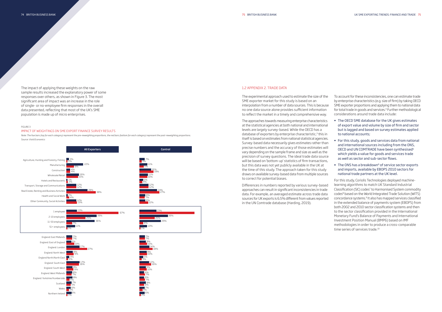To account for these inconsistencies, one can estimate trade by enterprise characteristics (e.g. size of firm) by taking OECD SME exporter proportions and applying them to national data for total trade in goods and services.4 Further methodological considerations around trade data include:

For this study, Coriolis Technologies deployed machinelearning algorithms to match UK Standard Industrial Classification (SIC) codes<sup>7</sup> to Harmonised System commodity codes<sup>8</sup> based on the World Integrated Trade Solution (WITS) concordance systems.9 It also has mapped services classified in the extended balance of payments system (EBOPS) from both 2002 and 2010 sector classification systems and then to the sector classification provided in the International Monetary Fund's Balance of Payments and International Investment Position Manual (BMP6) based on IMF methodologies in order to produce a cross-comparable time series of services trade.<sup>10</sup>

- The OECD SME database for the UK gives estimates of export value and volume by size of firm and sector but is lagged and based on survey estimates applied to national accounts;
- For this study, goods and services data from national and international sources including from the ONS, OECD and UN COMTRADE have been synthesised<sup>5</sup> which yields a value for goods and services trade as well as sector and sub-sector flows.
- The ONS has a breakdown<sup>6</sup> of service sector exports and imports, available by EBOPS 2010 sectors for national trade partners at the UK level.

#### 1.2 APPENDIX 2. TRADE DATA

The experimental approach used to estimate the size of the SME exporter market for this study is based on an interpolation from a number of data sources. This is because no one data source alone provides sufficient information to reflect the market in a timely and comprehensive way.

The approaches towards measuring enterprise characteristics at the statistical agencies at both national and international levels are largely survey-based. While the OECD has a database of exporters by enterprise characteristic, $3$  this in itself is based on estimates from national statistical agencies. Survey-based data necessarily gives estimates rather than precise numbers and the accuracy of those estimates will vary depending on the sample frame and size as well as the precision of survey questions. The ideal trade data source will be based on 'bottom-up' statistics of firm transactions, but this data was not yet publicly available in the UK at the time of this study. The approach taken for this study draws on available survey-based data from multiple sources to correct for potential biases.

Differences in numbers reported by various survey-based approaches can result in significant inconsistencies in trade data. For example, an averaged estimate across trade data sources for UK exports is 6.5% different from values reported in the UN Comtrade database (Harding, 2019).

The impact of applying these weights on the raw sample results increased the explanatory power of some responses over others, as shown in Figure 3. The most significant area of impact was an increase in the role of single- or no-employee firm responses in the overall data presented, reflecting that most of the UK's SME population is made up of micro enterprises.

#### FIGURE 3

#### IMPACT OF WEIGHTINGS ON SME EXPORT FINANCE SURVEY RESULTS

*Note: The llue bars (top for each category) represent the pre-reweighting proportions, the red bars (bottom for each category) represent the post-reweighting proportions. Source: Vivid Economics*

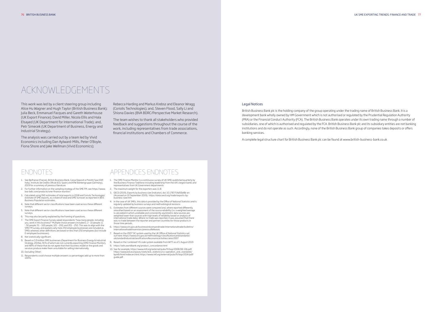#### Legal Notices

British Business Bank plc is the holding company of the group operating under the trading name of British Business Bank. It is a development bank wholly owned by HM Government which is not authorised or regulated by the Prudential Regulation Authority (PRA) or the Financial Conduct Authority (FCA). The British Business Bank operates under its own trading name through a number of subsidiaries, one of which is authorised and regulated by the FCA. British Business Bank plc and its subsidiary entities are not banking institutions and do not operate as such. Accordingly, none of the British Business Bank group of companies takes deposits or offers banking services.

A complete legal structure chart for British Business Bank plc can be found at www.british-business-bank.co.uk

- 1. See Bpifrance (France), British Business Bank, Cassa Depositi e Prestiti Spa (CDP, Italy), Instituto de Credito Oficial (ICO, Spain) and KfW Bankengruppe (Germany), 2019 for a summary of previous literature.
- 2. For further information on the sampling strategy of the SME FM, see https://www. bva-bdrc.com/products/sme-finance-monitor
- 3. Calculated using ONS estimates of total exports in 2018 and Coriolis Technologies' estimate of SME exports, as a share of total and SME turnover as reported in BEIS Business Population estimates
- 4. Note that different sector classifications have been used across these different surveys.
- 5. Note that different sector classifications have been used across these different surveys.
- 6. This may also be partly explained by the framing of questions.
- 7. The SME Export Finance Survey asked respondents "how many people, including you, work in this business?" Multiple choice answers included 1; 2 10 people; 11 - 50 people; 51 – 100 people; 101 – 200; and 201 – 250. This was to align with the SME FM survey, and explains why here 250 employee businesses are included as SMEs whereas other definitions are based on less than 250 employees (but include 0-employee businesses).
- 8. Not statistically significant.
- 9. Based on 5.9 million SME businesses (Department for Business Energy & Industrial Strategy, 2019a), 91% of which are not currently exporting (SME Finance Monitor), and 48% of these that do not agree that their business model or the goods and services produce make them unsuitable for selling internationally.
- 10. Excluding 'Other
- 11. Respondents could choose multiple answers so percentages add up to more than 100%.
- 1. The SME Finance Monitor is a continuous survey of UK SMEs published quarterly by the Business Finance Taskforce including leadership from the UK's largest banks and representatives from UK Government departments
- 2. The maximum weight for the exporters was 11.8.
- 3. OECD (2019), Exports by business size (indicator). doi: 10.1787/54d56e8b-en (Accessed on 10 September 2019); https://data.oecd.org/trade/exports-bybusiness-size.htm
- 4. In the case of UK SMEs, this data is provided by the Office of National Statistics and is regularly updated by business surveys and methodological revisions
- 5. Estimates from different sources were compared and, where reported differently, smoothed based on an assessment of the source reliability (i.e. a weighted average is calculated in which unreliable and consistently asymmetric data sources are weighted lower than sources with high levels of reliability based on analysis of international trade data). Where no trade was reported, it was assumed that there was no trade between the reporter and partner countries for those products in those time periods.
- 6. https://www.ons.gov.uk/businessindustryandtrade/internationaltrade/bulletins/ internationaltradeinservices/previousReleases
- 7. Based on the 2007 SIC system used by the UK Office of National Statistics set out here: https://www.ons.gov.uk/methodology/classificationsandstandards/ ukstandardindustrialclassificationofeconomicactivities/uksic2007
- 8. Based on the 'combined' HS code system available from WITS as of 1 August 2019 9. https://wits.worldbank.org/product\_concordance.html
- 10. See for example, https://www.imf.org/external/pubs/ft/bop/2008/08-10b.pdf; https://www.ecb.europa.eu/stats/ecb\_statistics/co-operation\_and\_standards/ bpm6/html/index.en.html; https://www.imf.org/external/pubs/ft/bop/2014/pdf/ guide.pdf.

## ENDNOTES APPENDICES ENDNOTES

This work was led by a client steering group including Alice Hu Wagner and Hugh Taylor (British Business Bank); Julia Beck, Emmanuel Facques and Gareth Waterhouse (UK Export Finance); David Miller, Nicola Ellis and Hala Elsayed (UK Department for International Trade); and, Petr Simecek (UK Department of Business, Energy and Industrial Strategy).

The analysis was carried out by a team led by Vivid Economics including Dan Aylward-Mills, Peter O'Boyle, Fiona Shore and Jake Wellman (Vivid Economics);

Rebecca Harding and Markus Krebsz and Eleanor Wragg (Coriolis Technologies); and, Steven Flood, Sally Li and Shiona Davies (BVA BDRC/Perspective Market Research).

The team wishes to thank all stakeholders who provided feedback and suggestions throughout the course of the work, including representatives from trade associations, financial institutions and Chambers of Commerce.

# ACKNOWLEDGEMENTS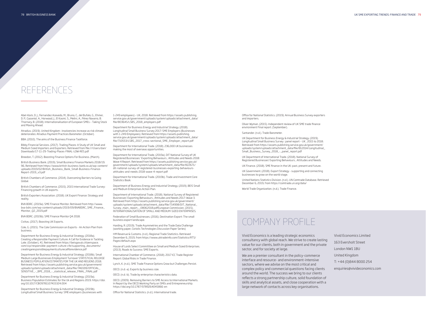# REFERENCES

Abel-Kock, D. J., Fernandez Acevedo, M., Bruno, C., del Bufalo, G., Ehmer, D. P., Gazaniol, A., Horwood, J., El Kasmi, S., Melini, A., Pérez Navarro, B. Thornary, B. (2018). Internationalisation of European SMEs – Taking Stock and Moving Ahead.

Atradius. (2019). United Kingdom : insolvencies increase as risk climate deteriorates: Atradius Payment Practices Barometer. (October).

BBA. (2010). The aims of the Business Finance Taskforce.

Bibby Financial Services. (2017). Trading Places: A Study of UK Small and Medium Sized Importers and Exporters. Retrieved from file:///Users/dan/ Downloads/17-11-29-Trading-Places-FINAL-LOW-RES.pdf

BVA BDRC. (2019a). SME Finance Monitor. Retrieved from http://www. bva-bdrc.com/wp-content/uploads/2019/09/BVABDRC\_SME\_Finance\_ Monitor\_02\_2019.pdf

Breedon, T. (2012). Boosting Finance Options For Business. (March).

British Business Bank. (2019). Small Business Finance Markets 2018/19. 96. Retrieved from https://www.british-business-bank.co.uk/wp-content/ uploads/2019/02/British\_Business\_Bank\_Small-Business-Finance-Report-2019\_v3.pdf

Department for Business Energy & Industrial Strategy. (2018b). Small Medium Large Businesses Employment Turnover STATISTICAL RELEASE BUSINESS POPULATION ESTIMATES FOR THE UK AND REGIONS 2018. Retrieved from https://assets.publishing.service.gov.uk/government/ uploads/system/uploads/attachment\_data/file/746599/OFFICIAL\_ SENSITIVE - BPE\_2018 - statistical release\_FINAL\_FINAL.pdf

British Chambers of Commerce. (2014). Overcoming Barriers to Going Global.

British Chambers of Commerce. (2015). 2015 International Trade Survey: Financing growth in UK exports.

British Exporters Association. (2018). UK Export Finance: Strategy and reality.

Department for Business Energy and Industrial Strategy. (2018). Longitudinal Small Business Survey 2017: SME Employers (Businesses with 1-249 Employees). Retrieved from https://assets.publishing. service.gov.uk/government/uploads/system/uploads/attachment\_data/ file/710553/LSBS\_2017\_cross-sectional\_SME\_Employer\_report.pdf

BVA BDRC. (2019b). SME Finance Monitor Q4 2018.

Civitas. (2017). Boosting UK Exports.

Cole, G. (2015). The Cole Commission on Exports - An Action Plan from business.

Department for Business Energy & Industrial Strategy. (2018a). Creating a Responsible Payment Culture: A Call for Evidence in Tackling Late. (October), 41. Retrieved from https://beisgovuk.citizenspace. com/ccp/responsible-payment-culture-cfe/supporting\_documents/ creatingaresponsiblepaymentculturecallforevidence.pdf

Department for Business Energy & Industrial Strategy. (2019a). Business Population Estimates for the Uk and Regions 2019. https://doi. org/10.1017/CBO9781107415324.004

Department for Business Energy & Industrial Strategy. (2019b). Longitudinal Small Business Survey: SME employers (businesses with 1-249 employees) – UK, 2018. Retrieved from https://assets.publishing. service.gov.uk/government/uploads/system/uploads/attachment\_data/ file/803645/LSBS\_2018\_employers.pdf

> UK Government. (2018). Export Strategy - supporting and connecting businesses to grow on the world stage.

Department for International Trade. (2018). 236,000 UK businesses making the most of overseas opportunities.

Department for International Trade. (2019a). DIT National Survey of UK Registered Businesses ' Exporting Behaviours , Attitudes and Needs 2018: Wave 4 Report. Retrieved from https://assets.publishing.service.gov.uk/ government/uploads/system/uploads/attachment\_data/file/822671/ dit-national-survey-of-registered-businesses-exporting-behavioursattitudes-and-needs-2018-wave-4-report.pdf

Department for International Trade. (2019b). Trade and Investment Core Statistics Book.

Department of Business Energy and Industrial Strategy. (2019). BEIS Small and Medium Enterprises Action Plan.

Department of International Trade. (2018). National Survey of Registered Businesses' Exporting Behaviours , Attitudes and Needs 2017: Wave 3. Retrieved from https://assets.publishing.service.gov.uk/government/ uploads/system/uploads/attachment\_data/file/714998/DIT\_National\_ Survey\_main\_report\_\_08062018.pdfEuropean Commission. (2015). INTERNATIONALISATION OF SMALL AND MEDIUM-SIZED ENTERPRISES.

Federation of Small Businesses. (2016). Destination Export: The small business export landscape.

Harding, R. (2019). Trade Asymmetries and the Trade Data Challenge (working paper, Coriolis Technologies Discussion Paper Series)

HM Revenue & Customs. (n.d.). Regional Trade Statistics. Retrieved December 6, 2019, from https://www.uktradeinfo.com/Statistics/RTS/ Pages/default.aspx

House of Lords Select Committtee on Small and Medium Sized Enterprises. (2013). Roads to Success: SME Exports.

International Chamber of Commerce. (2018). 2017 ICC Trade Register Report: Global Risks in Trade Finance.

Lynch, K. (n.d.). SME Trade Finance Options Grow but Challenges Persist.

OECD. (n.d.-a). Exports by business size.

OECD. (n.d.-b). Trade by enterprise characteristics data.

OECD. (2009). Removing Barriers to SME Access to International Markets. In Report by the OECD Working Party on SMEs and Entrepreneurship. https://doi.org/10.1787/9789264045866-en

Office for National Statistics. (n.d.). International trade.

Office for National Statistics. (2019). Annual Business Survey exporters and importers.

Oliver Wyman. (2015). Independent review of UK SME trade finance environment Final report. (September).

Santander. (n.d.). Trade Barometer.

UK Department for Business Energy & Industrial Strategy. (2019). Longitudinal Small Business Survey : panel report – UK , 2015 to 2018. Retrieved from https://assets.publishing.service.gov.uk/government/ uploads/system/uploads/attachment\_data/file/812014/Longitudinal\_ Small\_Business\_Survey\_2018\_-\_panel\_report.pdf

UK Department of International Trade. (2018). National Survey of Registered Businesses' Exporting Behaviours , Attitudes and Needs.

UK Finance. (2018). SME finance in the UK: past, present and future.

United Nations Statistics Division. (n.d.). UN Comtrade Database. Retrieved December 6, 2019, from https://comtrade.un.org/data/

World Trade Organization. (n.d.). Trade Finance.

Vivid Economics is a leading strategic economics consultancy with global reach. We strive to create lasting value for our clients, both in government and the private sector, and for society at large.

We are a premier consultant in the policy-commerce interface and resource- and environment-intensive sectors, where we advise on the most critical and complex policy and commercial questions facing clients around the world. The success we bring to our clients reflects a strong partnership culture, solid foundation of skills and analytical assets, and close cooperation with a large network of contacts across key organisations.

Vivid Economics Limited 163 Eversholt Street

- London NW1 1BU United Kingdom
- T: +44 (0)844 8000 254
- enquiries@vivideconomics.com

# COMPANY PROFILE